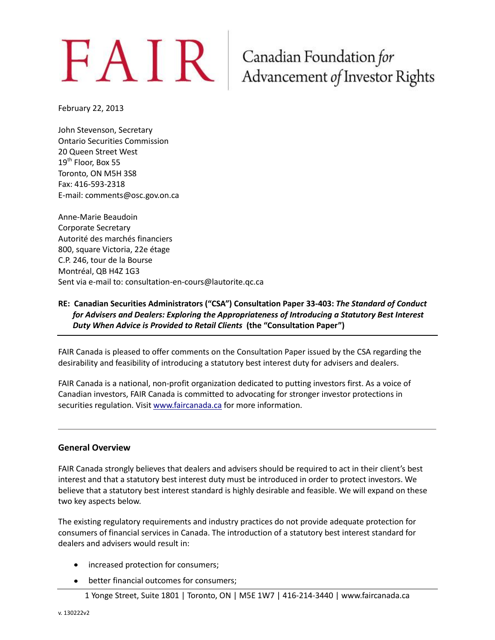# $FAN$   $R$   $\frac{1}{100}$   $\frac{1}{200}$   $\frac{1}{200}$   $\frac{1}{200}$   $\frac{1}{200}$   $\frac{1}{200}$   $\frac{1}{200}$   $\frac{1}{200}$   $\frac{1}{200}$   $\frac{1}{200}$   $\frac{1}{200}$   $\frac{1}{200}$   $\frac{1}{200}$   $\frac{1}{200}$   $\frac{1}{200}$   $\frac{1}{200}$   $\frac{1}{200}$   $\frac{1}{20$

February 22, 2013

John Stevenson, Secretary Ontario Securities Commission 20 Queen Street West 19<sup>th</sup> Floor, Box 55 Toronto, ON M5H 3S8 Fax: 416-593-2318 E-mail: comments@osc.gov.on.ca

Anne-Marie Beaudoin Corporate Secretary Autorité des marchés financiers 800, square Victoria, 22e étage C.P. 246, tour de la Bourse Montréal, QB H4Z 1G3 Sent via e-mail to: consultation-en-cours@lautorite.qc.ca

#### **RE: Canadian Securities Administrators ("CSA") Consultation Paper 33-403:** *The Standard of Conduct for Advisers and Dealers: Exploring the Appropriateness of Introducing a Statutory Best Interest Duty When Advice is Provided to Retail Clients* **(the "Consultation Paper")**

FAIR Canada is pleased to offer comments on the Consultation Paper issued by the CSA regarding the desirability and feasibility of introducing a statutory best interest duty for advisers and dealers.

FAIR Canada is a national, non-profit organization dedicated to putting investors first. As a voice of Canadian investors, FAIR Canada is committed to advocating for stronger investor protections in securities regulation. Visi[t www.faircanada.ca](http://www.faircanada.ca/) for more information.

#### **General Overview**

FAIR Canada strongly believes that dealers and advisers should be required to act in their client's best interest and that a statutory best interest duty must be introduced in order to protect investors. We believe that a statutory best interest standard is highly desirable and feasible. We will expand on these two key aspects below.

The existing regulatory requirements and industry practices do not provide adequate protection for consumers of financial services in Canada. The introduction of a statutory best interest standard for dealers and advisers would result in:

- increased protection for consumers;
- better financial outcomes for consumers;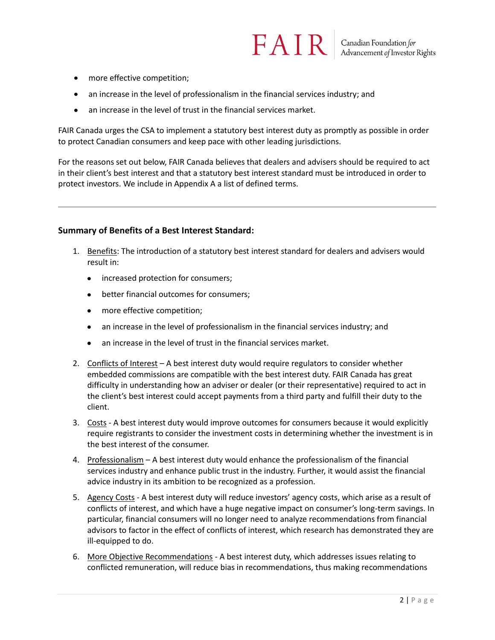- more effective competition;
- an increase in the level of professionalism in the financial services industry; and
- an increase in the level of trust in the financial services market.  $\bullet$

FAIR Canada urges the CSA to implement a statutory best interest duty as promptly as possible in order to protect Canadian consumers and keep pace with other leading jurisdictions.

For the reasons set out below, FAIR Canada believes that dealers and advisers should be required to act in their client's best interest and that a statutory best interest standard must be introduced in order to protect investors. We include in Appendix A a list of defined terms.

#### **Summary of Benefits of a Best Interest Standard:**

- 1. Benefits: The introduction of a statutory best interest standard for dealers and advisers would result in:
	- increased protection for consumers;
	- better financial outcomes for consumers;
	- more effective competition;
	- an increase in the level of professionalism in the financial services industry; and  $\bullet$
	- an increase in the level of trust in the financial services market.
- 2. Conflicts of Interest A best interest duty would require regulators to consider whether embedded commissions are compatible with the best interest duty. FAIR Canada has great difficulty in understanding how an adviser or dealer (or their representative) required to act in the client's best interest could accept payments from a third party and fulfill their duty to the client.
- 3. Costs A best interest duty would improve outcomes for consumers because it would explicitly require registrants to consider the investment costs in determining whether the investment is in the best interest of the consumer.
- 4. Professionalism A best interest duty would enhance the professionalism of the financial services industry and enhance public trust in the industry. Further, it would assist the financial advice industry in its ambition to be recognized as a profession.
- 5. Agency Costs A best interest duty will reduce investors' agency costs, which arise as a result of conflicts of interest, and which have a huge negative impact on consumer's long-term savings. In particular, financial consumers will no longer need to analyze recommendations from financial advisors to factor in the effect of conflicts of interest, which research has demonstrated they are ill-equipped to do.
- 6. More Objective Recommendations A best interest duty, which addresses issues relating to conflicted remuneration, will reduce bias in recommendations, thus making recommendations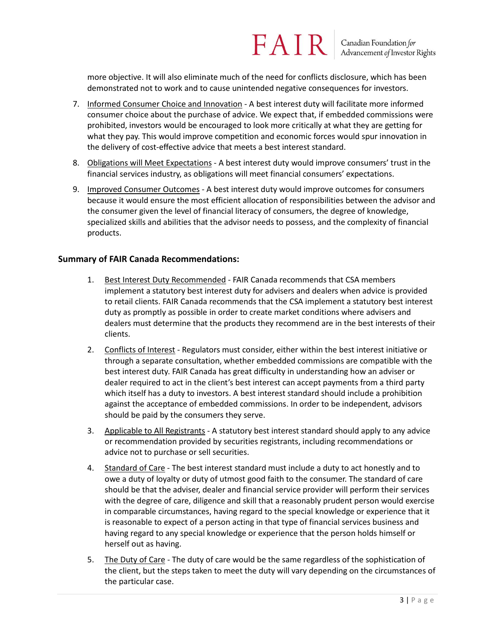more objective. It will also eliminate much of the need for conflicts disclosure, which has been demonstrated not to work and to cause unintended negative consequences for investors.

- 7. Informed Consumer Choice and Innovation A best interest duty will facilitate more informed consumer choice about the purchase of advice. We expect that, if embedded commissions were prohibited, investors would be encouraged to look more critically at what they are getting for what they pay. This would improve competition and economic forces would spur innovation in the delivery of cost-effective advice that meets a best interest standard.
- 8. Obligations will Meet Expectations A best interest duty would improve consumers' trust in the financial services industry, as obligations will meet financial consumers' expectations.
- 9. Improved Consumer Outcomes A best interest duty would improve outcomes for consumers because it would ensure the most efficient allocation of responsibilities between the advisor and the consumer given the level of financial literacy of consumers, the degree of knowledge, specialized skills and abilities that the advisor needs to possess, and the complexity of financial products.

#### **Summary of FAIR Canada Recommendations:**

- 1. Best Interest Duty Recommended FAIR Canada recommends that CSA members implement a statutory best interest duty for advisers and dealers when advice is provided to retail clients. FAIR Canada recommends that the CSA implement a statutory best interest duty as promptly as possible in order to create market conditions where advisers and dealers must determine that the products they recommend are in the best interests of their clients.
- 2. Conflicts of Interest Regulators must consider, either within the best interest initiative or through a separate consultation, whether embedded commissions are compatible with the best interest duty. FAIR Canada has great difficulty in understanding how an adviser or dealer required to act in the client's best interest can accept payments from a third party which itself has a duty to investors. A best interest standard should include a prohibition against the acceptance of embedded commissions. In order to be independent, advisors should be paid by the consumers they serve.
- 3. Applicable to All Registrants A statutory best interest standard should apply to any advice or recommendation provided by securities registrants, including recommendations or advice not to purchase or sell securities.
- 4. Standard of Care The best interest standard must include a duty to act honestly and to owe a duty of loyalty or duty of utmost good faith to the consumer. The standard of care should be that the adviser, dealer and financial service provider will perform their services with the degree of care, diligence and skill that a reasonably prudent person would exercise in comparable circumstances, having regard to the special knowledge or experience that it is reasonable to expect of a person acting in that type of financial services business and having regard to any special knowledge or experience that the person holds himself or herself out as having.
- 5. The Duty of Care The duty of care would be the same regardless of the sophistication of the client, but the steps taken to meet the duty will vary depending on the circumstances of the particular case.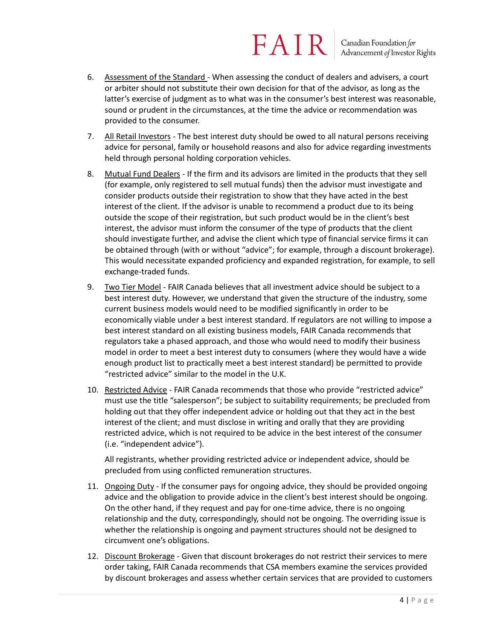- 6. Assessment of the Standard When assessing the conduct of dealers and advisers, a court or arbiter should not substitute their own decision for that of the advisor, as long as the latter's exercise of judgment as to what was in the consumer's best interest was reasonable, sound or prudent in the circumstances, at the time the advice or recommendation was provided to the consumer.
- 7. All Retail Investors The best interest duty should be owed to all natural persons receiving advice for personal, family or household reasons and also for advice regarding investments held through personal holding corporation vehicles.
- 8. Mutual Fund Dealers If the firm and its advisors are limited in the products that they sell (for example, only registered to sell mutual funds) then the advisor must investigate and consider products outside their registration to show that they have acted in the best interest of the client. If the advisor is unable to recommend a product due to its being outside the scope of their registration, but such product would be in the client's best interest, the advisor must inform the consumer of the type of products that the client should investigate further, and advise the client which type of financial service firms it can be obtained through (with or without "advice"; for example, through a discount brokerage). This would necessitate expanded proficiency and expanded registration, for example, to sell exchange-traded funds.
- 9. Two Tier Model FAIR Canada believes that all investment advice should be subject to a best interest duty. However, we understand that given the structure of the industry, some current business models would need to be modified significantly in order to be economically viable under a best interest standard. If regulators are not willing to impose a best interest standard on all existing business models, FAIR Canada recommends that regulators take a phased approach, and those who would need to modify their business model in order to meet a best interest duty to consumers (where they would have a wide enough product list to practically meet a best interest standard) be permitted to provide "restricted advice" similar to the model in the U.K.
- 10. Restricted Advice FAIR Canada recommends that those who provide "restricted advice" must use the title "salesperson"; be subject to suitability requirements; be precluded from holding out that they offer independent advice or holding out that they act in the best interest of the client; and must disclose in writing and orally that they are providing restricted advice, which is not required to be advice in the best interest of the consumer (i.e. "independent advice").

All registrants, whether providing restricted advice or independent advice, should be precluded from using conflicted remuneration structures.

- 11. Ongoing Duty If the consumer pays for ongoing advice, they should be provided ongoing advice and the obligation to provide advice in the client's best interest should be ongoing. On the other hand, if they request and pay for one-time advice, there is no ongoing relationship and the duty, correspondingly, should not be ongoing. The overriding issue is whether the relationship is ongoing and payment structures should not be designed to circumvent one's obligations.
- 12. Discount Brokerage Given that discount brokerages do not restrict their services to mere order taking, FAIR Canada recommends that CSA members examine the services provided by discount brokerages and assess whether certain services that are provided to customers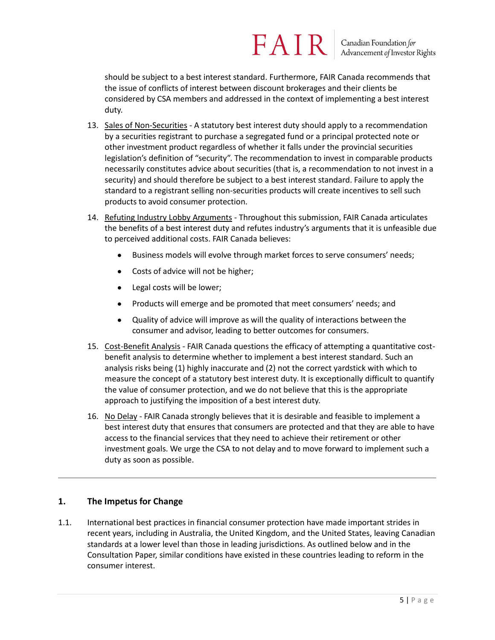should be subject to a best interest standard. Furthermore, FAIR Canada recommends that the issue of conflicts of interest between discount brokerages and their clients be considered by CSA members and addressed in the context of implementing a best interest duty.

- 13. Sales of Non-Securities A statutory best interest duty should apply to a recommendation by a securities registrant to purchase a segregated fund or a principal protected note or other investment product regardless of whether it falls under the provincial securities legislation's definition of "security". The recommendation to invest in comparable products necessarily constitutes advice about securities (that is, a recommendation to not invest in a security) and should therefore be subject to a best interest standard. Failure to apply the standard to a registrant selling non-securities products will create incentives to sell such products to avoid consumer protection.
- 14. Refuting Industry Lobby Arguments Throughout this submission, FAIR Canada articulates the benefits of a best interest duty and refutes industry's arguments that it is unfeasible due to perceived additional costs. FAIR Canada believes:
	- Business models will evolve through market forces to serve consumers' needs;
	- Costs of advice will not be higher;
	- Legal costs will be lower;
	- Products will emerge and be promoted that meet consumers' needs; and
	- Quality of advice will improve as will the quality of interactions between the consumer and advisor, leading to better outcomes for consumers.
- 15. Cost-Benefit Analysis FAIR Canada questions the efficacy of attempting a quantitative costbenefit analysis to determine whether to implement a best interest standard. Such an analysis risks being (1) highly inaccurate and (2) not the correct yardstick with which to measure the concept of a statutory best interest duty. It is exceptionally difficult to quantify the value of consumer protection, and we do not believe that this is the appropriate approach to justifying the imposition of a best interest duty.
- 16. No Delay FAIR Canada strongly believes that it is desirable and feasible to implement a best interest duty that ensures that consumers are protected and that they are able to have access to the financial services that they need to achieve their retirement or other investment goals. We urge the CSA to not delay and to move forward to implement such a duty as soon as possible.

#### **1. The Impetus for Change**

1.1. International best practices in financial consumer protection have made important strides in recent years, including in Australia, the United Kingdom, and the United States, leaving Canadian standards at a lower level than those in leading jurisdictions. As outlined below and in the Consultation Paper, similar conditions have existed in these countries leading to reform in the consumer interest.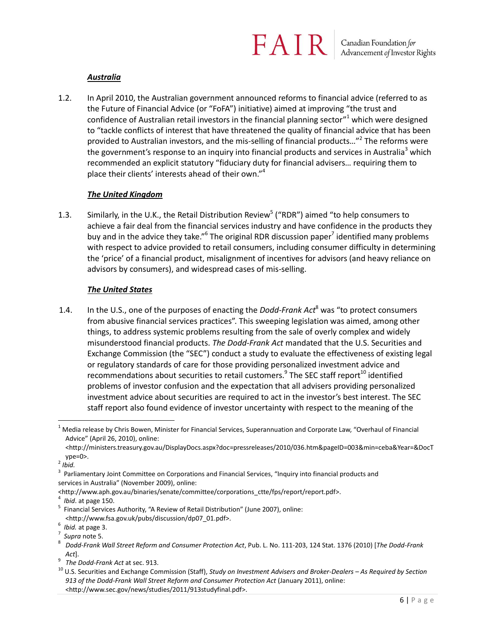#### *Australia*

1.2. In April 2010, the Australian government announced reforms to financial advice (referred to as the Future of Financial Advice (or "FoFA") initiative) aimed at improving "the trust and confidence of Australian retail investors in the financial planning sector $n<sup>1</sup>$  which were designed to "tackle conflicts of interest that have threatened the quality of financial advice that has been provided to Australian investors, and the mis-selling of financial products..."<sup>2</sup> The reforms were the government's response to an inquiry into financial products and services in Australia<sup>3</sup> which recommended an explicit statutory "fiduciary duty for financial advisers… requiring them to place their clients' interests ahead of their own."<sup>4</sup>

#### *The United Kingdom*

1.3. Similarly, in the U.K., the Retail Distribution Review<sup>5</sup> ("RDR") aimed "to help consumers to achieve a fair deal from the financial services industry and have confidence in the products they buy and in the advice they take."<sup>6</sup> The original RDR discussion paper<sup>7</sup> identified many problems with respect to advice provided to retail consumers, including consumer difficulty in determining the 'price' of a financial product, misalignment of incentives for advisors (and heavy reliance on advisors by consumers), and widespread cases of mis-selling.

#### *The United States*

1.4. In the U.S., one of the purposes of enacting the *Dodd-Frank Act*<sup>8</sup> was "to protect consumers from abusive financial services practices". This sweeping legislation was aimed, among other things, to address systemic problems resulting from the sale of overly complex and widely misunderstood financial products. *The Dodd-Frank Act* mandated that the U.S. Securities and Exchange Commission (the "SEC") conduct a study to evaluate the effectiveness of existing legal or regulatory standards of care for those providing personalized investment advice and recommendations about securities to retail customers.<sup>9</sup> The SEC staff report<sup>10</sup> identified problems of investor confusion and the expectation that all advisers providing personalized investment advice about securities are required to act in the investor's best interest. The SEC staff report also found evidence of investor uncertainty with respect to the meaning of the

 $\overline{a}$ 

<http://www.aph.gov.au/binaries/senate/committee/corporations\_ctte/fps/report/report.pdf>.

9 *The Dodd-Frank Act* at sec. 913.

 $1$  Media release by Chris Bowen, Minister for Financial Services, Superannuation and Corporate Law, "Overhaul of Financial Advice" (April 26, 2010), online:

<sup>&</sup>lt;http://ministers.treasury.gov.au/DisplayDocs.aspx?doc=pressreleases/2010/036.htm&pageID=003&min=ceba&Year=&DocT ype=0>.

<sup>2</sup> *Ibid.*

<sup>&</sup>lt;sup>3</sup> Parliamentary Joint Committee on Corporations and Financial Services, "Inquiry into financial products and services in Australia" (November 2009), online:

<sup>4</sup> *Ibid*. at page 150.

<sup>&</sup>lt;sup>5</sup> Financial Services Authority, "A Review of Retail Distribution" (June 2007), online: <http://www.fsa.gov.uk/pubs/discussion/dp07\_01.pdf>.

<sup>6</sup> *Ibid.* at page 3.

<sup>7</sup> *Supra* note 5.

<sup>8</sup> *Dodd-Frank Wall Street Reform and Consumer Protection Act*, Pub. L. No. 111-203, 124 Stat. 1376 (2010) [*The Dodd-Frank Act*].

<sup>10</sup> U.S. Securities and Exchange Commission (Staff), *Study on Investment Advisers and Broker-Dealers – As Required by Section 913 of the Dodd-Frank Wall Street Reform and Consumer Protection Act* (January 2011), online: <http://www.sec.gov/news/studies/2011/913studyfinal.pdf>.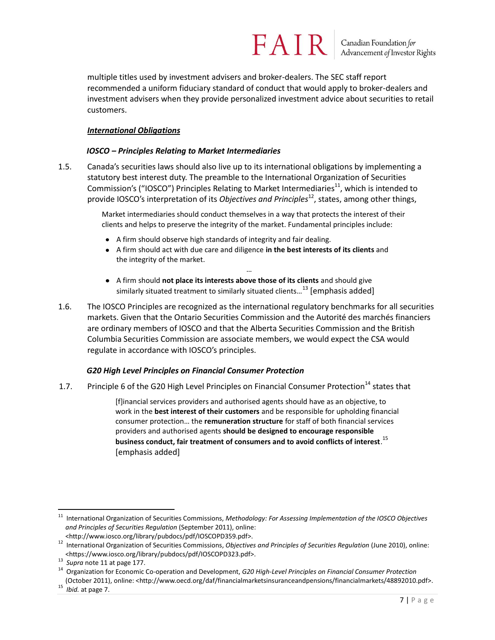multiple titles used by investment advisers and broker-dealers. The SEC staff report recommended a uniform fiduciary standard of conduct that would apply to broker-dealers and investment advisers when they provide personalized investment advice about securities to retail customers.

#### *International Obligations*

#### *IOSCO – Principles Relating to Market Intermediaries*

1.5. Canada's securities laws should also live up to its international obligations by implementing a statutory best interest duty. The preamble to the International Organization of Securities Commission's ("IOSCO") Principles Relating to Market Intermediaries<sup>11</sup>, which is intended to provide IOSCO's interpretation of its *Objectives and Principles*<sup>12</sup>, states, among other things,

> Market intermediaries should conduct themselves in a way that protects the interest of their clients and helps to preserve the integrity of the market. Fundamental principles include:

- A firm should observe high standards of integrity and fair dealing.
- A firm should act with due care and diligence **in the best interests of its clients** and the integrity of the market. …
- A firm should **not place its interests above those of its clients** and should give similarly situated treatment to similarly situated clients...<sup>13</sup> [emphasis added]
- 1.6. The IOSCO Principles are recognized as the international regulatory benchmarks for all securities markets. Given that the Ontario Securities Commission and the Autorité des marchés financiers are ordinary members of IOSCO and that the Alberta Securities Commission and the British Columbia Securities Commission are associate members, we would expect the CSA would regulate in accordance with IOSCO's principles.

#### *G20 High Level Principles on Financial Consumer Protection*

1.7. Principle 6 of the G20 High Level Principles on Financial Consumer Protection<sup>14</sup> states that

[f]inancial services providers and authorised agents should have as an objective, to work in the **best interest of their customers** and be responsible for upholding financial consumer protection… the **remuneration structure** for staff of both financial services providers and authorised agents **should be designed to encourage responsible business conduct, fair treatment of consumers and to avoid conflicts of interest**. 15 [emphasis added]

 $\overline{a}$ <sup>11</sup> International Organization of Securities Commissions, *Methodology: For Assessing Implementation of the IOSCO Objectives and Principles of Securities Regulation* (September 2011), online:

<sup>&</sup>lt;http://www.iosco.org/library/pubdocs/pdf/IOSCOPD359.pdf>.

<sup>12</sup> International Organization of Securities Commissions, *Objectives and Principles of Securities Regulation* (June 2010), online: <https://www.iosco.org/library/pubdocs/pdf/IOSCOPD323.pdf>.

<sup>13</sup> *Supra* note 11 at page 177.

<sup>14</sup> Organization for Economic Co-operation and Development, *G20 High-Level Principles on Financial Consumer Protection*

<sup>(</sup>October 2011), online: <http://www.oecd.org/daf/financialmarketsinsuranceandpensions/financialmarkets/48892010.pdf>. <sup>15</sup> *Ibid.* at page 7.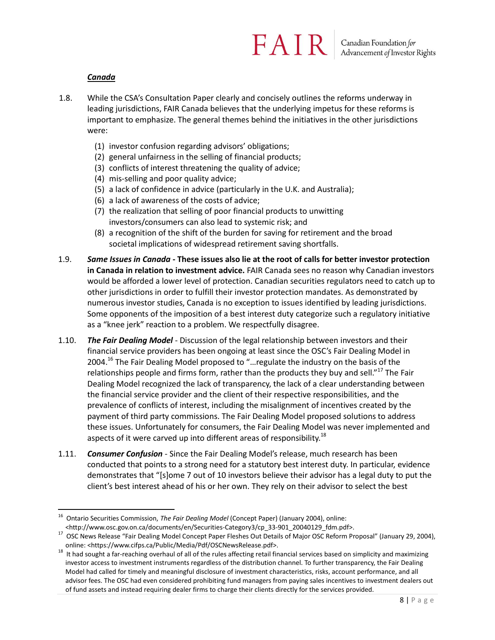#### *Canada*

- 1.8. While the CSA's Consultation Paper clearly and concisely outlines the reforms underway in leading jurisdictions, FAIR Canada believes that the underlying impetus for these reforms is important to emphasize. The general themes behind the initiatives in the other jurisdictions were:
	- (1) investor confusion regarding advisors' obligations;
	- (2) general unfairness in the selling of financial products;
	- (3) conflicts of interest threatening the quality of advice;
	- (4) mis-selling and poor quality advice;
	- (5) a lack of confidence in advice (particularly in the U.K. and Australia);
	- (6) a lack of awareness of the costs of advice;
	- (7) the realization that selling of poor financial products to unwitting investors/consumers can also lead to systemic risk; and
	- (8) a recognition of the shift of the burden for saving for retirement and the broad societal implications of widespread retirement saving shortfalls.
- 1.9. *Same Issues in Canada* **- These issues also lie at the root of calls for better investor protection in Canada in relation to investment advice.** FAIR Canada sees no reason why Canadian investors would be afforded a lower level of protection. Canadian securities regulators need to catch up to other jurisdictions in order to fulfill their investor protection mandates. As demonstrated by numerous investor studies, Canada is no exception to issues identified by leading jurisdictions. Some opponents of the imposition of a best interest duty categorize such a regulatory initiative as a "knee jerk" reaction to a problem. We respectfully disagree.
- 1.10. *The Fair Dealing Model* Discussion of the legal relationship between investors and their financial service providers has been ongoing at least since the OSC's Fair Dealing Model in 2004.<sup>16</sup> The Fair Dealing Model proposed to "... regulate the industry on the basis of the relationships people and firms form, rather than the products they buy and sell."<sup>17</sup> The Fair Dealing Model recognized the lack of transparency, the lack of a clear understanding between the financial service provider and the client of their respective responsibilities, and the prevalence of conflicts of interest, including the misalignment of incentives created by the payment of third party commissions. The Fair Dealing Model proposed solutions to address these issues. Unfortunately for consumers, the Fair Dealing Model was never implemented and aspects of it were carved up into different areas of responsibility.<sup>18</sup>
- 1.11. *Consumer Confusion* Since the Fair Dealing Model's release, much research has been conducted that points to a strong need for a statutory best interest duty. In particular, evidence demonstrates that "[s]ome 7 out of 10 investors believe their advisor has a legal duty to put the client's best interest ahead of his or her own. They rely on their advisor to select the best

 $\overline{a}$ <sup>16</sup> Ontario Securities Commission, *The Fair Dealing Model* (Concept Paper) (January 2004), online: <http://www.osc.gov.on.ca/documents/en/Securities-Category3/cp\_33-901\_20040129\_fdm.pdf>.

<sup>&</sup>lt;sup>17</sup> OSC News Release "Fair Dealing Model Concept Paper Fleshes Out Details of Major OSC Reform Proposal" (January 29, 2004), online: <https://www.cifps.ca/Public/Media/Pdf/OSCNewsRelease.pdf>.

 $18$  It had sought a far-reaching overhaul of all of the rules affecting retail financial services based on simplicity and maximizing investor access to investment instruments regardless of the distribution channel. To further transparency, the Fair Dealing Model had called for timely and meaningful disclosure of investment characteristics, risks, account performance, and all advisor fees. The OSC had even considered prohibiting fund managers from paying sales incentives to investment dealers out of fund assets and instead requiring dealer firms to charge their clients directly for the services provided.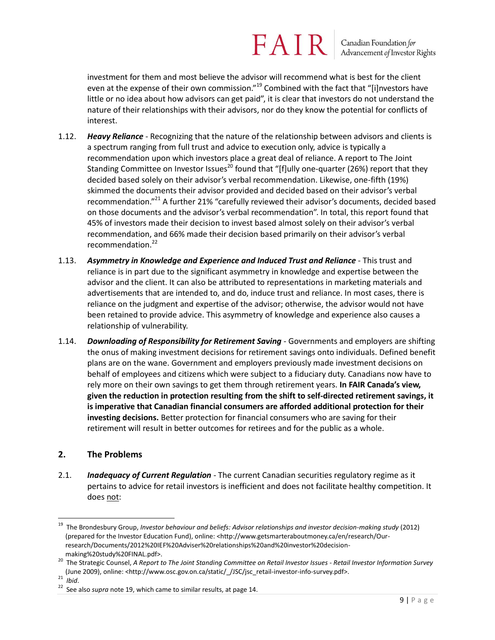investment for them and most believe the advisor will recommend what is best for the client even at the expense of their own commission."<sup>19</sup> Combined with the fact that "[i]nvestors have little or no idea about how advisors can get paid", it is clear that investors do not understand the nature of their relationships with their advisors, nor do they know the potential for conflicts of interest.

- 1.12. *Heavy Reliance* Recognizing that the nature of the relationship between advisors and clients is a spectrum ranging from full trust and advice to execution only, advice is typically a recommendation upon which investors place a great deal of reliance. A report to The Joint Standing Committee on Investor Issues<sup>20</sup> found that "[f]ully one-quarter (26%) report that they decided based solely on their advisor's verbal recommendation. Likewise, one-fifth (19%) skimmed the documents their advisor provided and decided based on their advisor's verbal recommendation."<sup>21</sup> A further 21% "carefully reviewed their advisor's documents, decided based on those documents and the advisor's verbal recommendation". In total, this report found that 45% of investors made their decision to invest based almost solely on their advisor's verbal recommendation, and 66% made their decision based primarily on their advisor's verbal recommendation.<sup>22</sup>
- 1.13. *Asymmetry in Knowledge and Experience and Induced Trust and Reliance* This trust and reliance is in part due to the significant asymmetry in knowledge and expertise between the advisor and the client. It can also be attributed to representations in marketing materials and advertisements that are intended to, and do, induce trust and reliance. In most cases, there is reliance on the judgment and expertise of the advisor; otherwise, the advisor would not have been retained to provide advice. This asymmetry of knowledge and experience also causes a relationship of vulnerability.
- 1.14. *Downloading of Responsibility for Retirement Saving* Governments and employers are shifting the onus of making investment decisions for retirement savings onto individuals. Defined benefit plans are on the wane. Government and employers previously made investment decisions on behalf of employees and citizens which were subject to a fiduciary duty. Canadians now have to rely more on their own savings to get them through retirement years. **In FAIR Canada's view, given the reduction in protection resulting from the shift to self-directed retirement savings, it is imperative that Canadian financial consumers are afforded additional protection for their investing decisions.** Better protection for financial consumers who are saving for their retirement will result in better outcomes for retirees and for the public as a whole.

#### **2. The Problems**

2.1. *Inadequacy of Current Regulation* - The current Canadian securities regulatory regime as it pertains to advice for retail investors is inefficient and does not facilitate healthy competition. It does not:

<sup>19</sup> The Brondesbury Group, *Investor behaviour and beliefs: Advisor relationships and investor decision-making study* (2012) (prepared for the Investor Education Fund), online: <http://www.getsmarteraboutmoney.ca/en/research/Ourresearch/Documents/2012%20IEF%20Adviser%20relationships%20and%20investor%20decisionmaking%20study%20FINAL.pdf>.

<sup>20</sup> The Strategic Counsel, *A Report to The Joint Standing Committee on Retail Investor Issues - Retail Investor Information Survey* (June 2009), online: <http://www.osc.gov.on.ca/static/\_/JSC/jsc\_retail-investor-info-survey.pdf>.

<sup>21</sup> *Ibid*.

<sup>22</sup> See also *supra* note 19, which came to similar results, at page 14.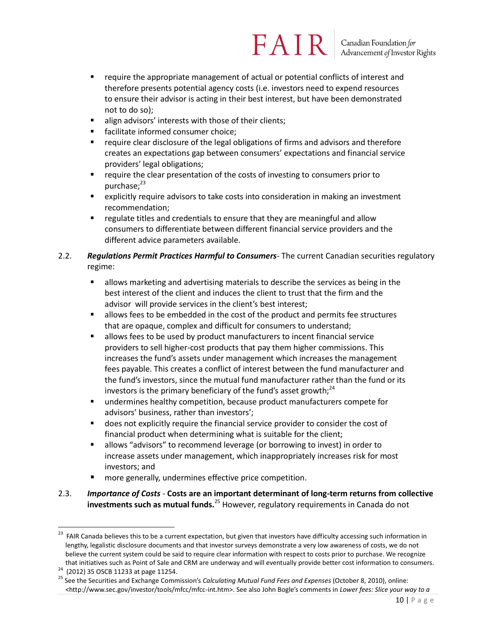- require the appropriate management of actual or potential conflicts of interest and therefore presents potential agency costs (i.e. investors need to expend resources to ensure their advisor is acting in their best interest, but have been demonstrated not to do so);
- align advisors' interests with those of their clients;
- facilitate informed consumer choice;
- **•** require clear disclosure of the legal obligations of firms and advisors and therefore creates an expectations gap between consumers' expectations and financial service providers' legal obligations;
- require the clear presentation of the costs of investing to consumers prior to purchase; $^{23}$
- explicitly require advisors to take costs into consideration in making an investment recommendation;
- regulate titles and credentials to ensure that they are meaningful and allow consumers to differentiate between different financial service providers and the different advice parameters available.

#### 2.2. *Regulations Permit Practices Harmful to Consumers*- The current Canadian securities regulatory regime:

- allows marketing and advertising materials to describe the services as being in the best interest of the client and induces the client to trust that the firm and the advisor will provide services in the client's best interest;
- allows fees to be embedded in the cost of the product and permits fee structures that are opaque, complex and difficult for consumers to understand;
- allows fees to be used by product manufacturers to incent financial service providers to sell higher-cost products that pay them higher commissions. This increases the fund's assets under management which increases the management fees payable. This creates a conflict of interest between the fund manufacturer and the fund's investors, since the mutual fund manufacturer rather than the fund or its investors is the primary beneficiary of the fund's asset growth; $^{24}$
- undermines healthy competition, because product manufacturers compete for advisors' business, rather than investors';
- does not explicitly require the financial service provider to consider the cost of financial product when determining what is suitable for the client;
- allows "advisors" to recommend leverage (or borrowing to invest) in order to increase assets under management, which inappropriately increases risk for most investors; and
- more generally, undermines effective price competition.
- 2.3. *Importance of Costs -* **Costs are an important determinant of long-term returns from collective investments such as mutual funds.**<sup>25</sup> However, regulatory requirements in Canada do not

 $\overline{a}$ <sup>23</sup> FAIR Canada believes this to be a current expectation, but given that investors have difficulty accessing such information in lengthy, legalistic disclosure documents and that investor surveys demonstrate a very low awareness of costs, we do not believe the current system could be said to require clear information with respect to costs prior to purchase. We recognize that initiatives such as Point of Sale and CRM are underway and will eventually provide better cost information to consumers.<br><sup>24</sup> (2012) 35 OSCB 11233 at page 11254.

<sup>25</sup> See the Securities and Exchange Commission's *Calculating Mutual Fund Fees and Expenses* (October 8, 2010), online: <http://www.sec.gov/investor/tools/mfcc/mfcc-int.htm>. See also John Bogle's comments in *Lower fees: Slice your way to a*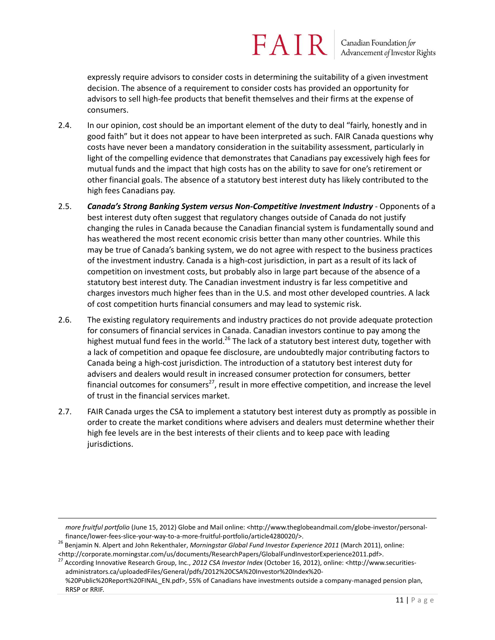Canadian Foundation for<br>Advancement of Investor Rights

expressly require advisors to consider costs in determining the suitability of a given investment decision. The absence of a requirement to consider costs has provided an opportunity for advisors to sell high-fee products that benefit themselves and their firms at the expense of consumers.

- 2.4. In our opinion, cost should be an important element of the duty to deal "fairly, honestly and in good faith" but it does not appear to have been interpreted as such. FAIR Canada questions why costs have never been a mandatory consideration in the suitability assessment, particularly in light of the compelling evidence that demonstrates that Canadians pay excessively high fees for mutual funds and the impact that high costs has on the ability to save for one's retirement or other financial goals. The absence of a statutory best interest duty has likely contributed to the high fees Canadians pay.
- 2.5. *Canada's Strong Banking System versus Non-Competitive Investment Industry* Opponents of a best interest duty often suggest that regulatory changes outside of Canada do not justify changing the rules in Canada because the Canadian financial system is fundamentally sound and has weathered the most recent economic crisis better than many other countries. While this may be true of Canada's banking system, we do not agree with respect to the business practices of the investment industry. Canada is a high-cost jurisdiction, in part as a result of its lack of competition on investment costs, but probably also in large part because of the absence of a statutory best interest duty. The Canadian investment industry is far less competitive and charges investors much higher fees than in the U.S. and most other developed countries. A lack of cost competition hurts financial consumers and may lead to systemic risk.
- 2.6. The existing regulatory requirements and industry practices do not provide adequate protection for consumers of financial services in Canada. Canadian investors continue to pay among the highest mutual fund fees in the world.<sup>26</sup> The lack of a statutory best interest duty, together with a lack of competition and opaque fee disclosure, are undoubtedly major contributing factors to Canada being a high-cost jurisdiction. The introduction of a statutory best interest duty for advisers and dealers would result in increased consumer protection for consumers, better financial outcomes for consumers<sup>27</sup>, result in more effective competition, and increase the level of trust in the financial services market.
- 2.7. FAIR Canada urges the CSA to implement a statutory best interest duty as promptly as possible in order to create the market conditions where advisers and dealers must determine whether their high fee levels are in the best interests of their clients and to keep pace with leading jurisdictions.

*more fruitful portfolio* (June 15, 2012) Globe and Mail online: <http://www.theglobeandmail.com/globe-investor/personalfinance/lower-fees-slice-your-way-to-a-more-fruitful-portfolio/article4280020/>.

<sup>26</sup> Benjamin N. Alpert and John Rekenthaler, *Morningstar Global Fund Investor Experience 2011* (March 2011), online: <http://corporate.morningstar.com/us/documents/ResearchPapers/GlobalFundInvestorExperience2011.pdf>.

<sup>27</sup> According Innovative Research Group, Inc., *2012 CSA Investor Index* (October 16, 2012), online: <http://www.securitiesadministrators.ca/uploadedFiles/General/pdfs/2012%20CSA%20Investor%20Index%20- %20Public%20Report%20FINAL\_EN.pdf>, 55% of Canadians have investments outside a company-managed pension plan, RRSP or RRIF.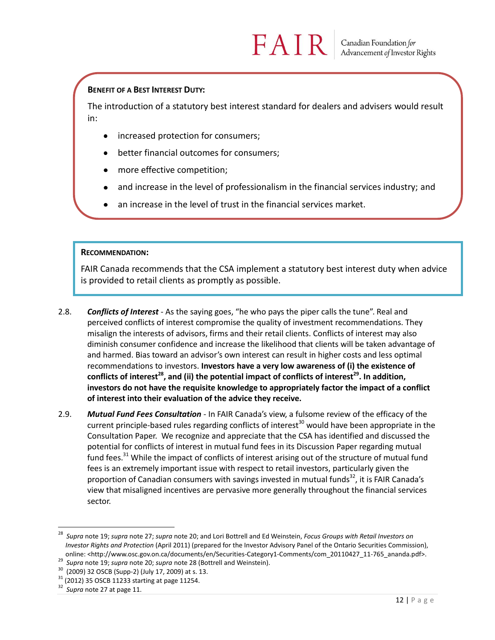#### **BENEFIT OF A BEST INTEREST DUTY:**

The introduction of a statutory best interest standard for dealers and advisers would result in:

- increased protection for consumers;
- better financial outcomes for consumers;
- more effective competition;
- and increase in the level of professionalism in the financial services industry; and
- an increase in the level of trust in the financial services market.

#### **RECOMMENDATION:**

FAIR Canada recommends that the CSA implement a statutory best interest duty when advice is provided to retail clients as promptly as possible.

- 2.8. *Conflicts of Interest* As the saying goes, "he who pays the piper calls the tune". Real and perceived conflicts of interest compromise the quality of investment recommendations. They misalign the interests of advisors, firms and their retail clients. Conflicts of interest may also diminish consumer confidence and increase the likelihood that clients will be taken advantage of and harmed. Bias toward an advisor's own interest can result in higher costs and less optimal recommendations to investors. **Investors have a very low awareness of (i) the existence of conflicts of interest<sup>28</sup>, and (ii) the potential impact of conflicts of interest<sup>29</sup>. In addition, investors do not have the requisite knowledge to appropriately factor the impact of a conflict of interest into their evaluation of the advice they receive.**
- 2.9. *Mutual Fund Fees Consultation* In FAIR Canada's view, a fulsome review of the efficacy of the current principle-based rules regarding conflicts of interest<sup>30</sup> would have been appropriate in the Consultation Paper. We recognize and appreciate that the CSA has identified and discussed the potential for conflicts of interest in mutual fund fees in its Discussion Paper regarding mutual fund fees.<sup>31</sup> While the impact of conflicts of interest arising out of the structure of mutual fund fees is an extremely important issue with respect to retail investors, particularly given the proportion of Canadian consumers with savings invested in mutual funds $32$ , it is FAIR Canada's view that misaligned incentives are pervasive more generally throughout the financial services sector.

<sup>28</sup> *Supra* note 19; *supra* note 27; *supra* note 20; and Lori Bottrell and Ed Weinstein, *Focus Groups with Retail Investors on Investor Rights and Protection* (April 2011) (prepared for the Investor Advisory Panel of the Ontario Securities Commission), online: <http://www.osc.gov.on.ca/documents/en/Securities-Category1-Comments/com\_20110427\_11-765\_ananda.pdf>.

<sup>29</sup> *Supra* note 19; *supra* note 20; *supra* note 28 (Bottrell and Weinstein).

<sup>30</sup> (2009) 32 OSCB (Supp-2) (July 17, 2009) at s. 13.

 $31$  (2012) 35 OSCB 11233 starting at page 11254.

<sup>32</sup> *Supra* note 27 at page 11.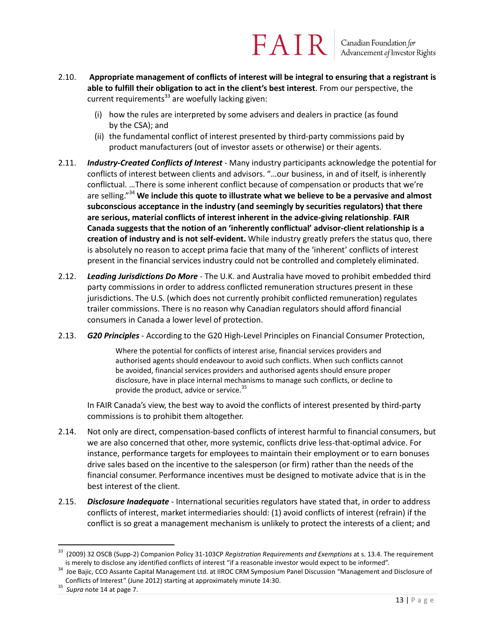- 2.10. **Appropriate management of conflicts of interest will be integral to ensuring that a registrant is able to fulfill their obligation to act in the client's best interest**. From our perspective, the current requirements<sup>33</sup> are woefully lacking given:
	- (i) how the rules are interpreted by some advisers and dealers in practice (as found by the CSA); and
	- (ii) the fundamental conflict of interest presented by third-party commissions paid by product manufacturers (out of investor assets or otherwise) or their agents.
- 2.11. *Industry-Created Conflicts of Interest* Many industry participants acknowledge the potential for conflicts of interest between clients and advisors. "…our business, in and of itself, is inherently conflictual. …There is some inherent conflict because of compensation or products that we're are selling."<sup>34</sup> **We include this quote to illustrate what we believe to be a pervasive and almost subconscious acceptance in the industry (and seemingly by securities regulators) that there are serious, material conflicts of interest inherent in the advice-giving relationship**. **FAIR Canada suggests that the notion of an 'inherently conflictual' advisor-client relationship is a creation of industry and is not self-evident.** While industry greatly prefers the status quo, there is absolutely no reason to accept prima facie that many of the 'inherent' conflicts of interest present in the financial services industry could not be controlled and completely eliminated.
- 2.12. *Leading Jurisdictions Do More* The U.K. and Australia have moved to prohibit embedded third party commissions in order to address conflicted remuneration structures present in these jurisdictions. The U.S. (which does not currently prohibit conflicted remuneration) regulates trailer commissions. There is no reason why Canadian regulators should afford financial consumers in Canada a lower level of protection.
- 2.13. *G20 Principles* According to the G20 High-Level Principles on Financial Consumer Protection,

Where the potential for conflicts of interest arise, financial services providers and authorised agents should endeavour to avoid such conflicts. When such conflicts cannot be avoided, financial services providers and authorised agents should ensure proper disclosure, have in place internal mechanisms to manage such conflicts, or decline to provide the product, advice or service.<sup>35</sup>

In FAIR Canada's view, the best way to avoid the conflicts of interest presented by third-party commissions is to prohibit them altogether.

- 2.14. Not only are direct, compensation-based conflicts of interest harmful to financial consumers, but we are also concerned that other, more systemic, conflicts drive less-that-optimal advice. For instance, performance targets for employees to maintain their employment or to earn bonuses drive sales based on the incentive to the salesperson (or firm) rather than the needs of the financial consumer. Performance incentives must be designed to motivate advice that is in the best interest of the client.
- 2.15. *Disclosure Inadequate* International securities regulators have stated that, in order to address conflicts of interest, market intermediaries should: (1) avoid conflicts of interest (refrain) if the conflict is so great a management mechanism is unlikely to protect the interests of a client; and

<sup>33</sup> (2009) 32 OSCB (Supp-2) Companion Policy 31-103CP *Registration Requirements and Exemptions* at s. 13.4. The requirement is merely to disclose any identified conflicts of interest "if a reasonable investor would expect to be informed".

<sup>&</sup>lt;sup>34</sup> Joe Bajic, CCO Assante Capital Management Ltd. at IIROC CRM Symposium Panel Discussion "Management and Disclosure of Conflicts of Interest" (June 2012) starting at approximately minute 14:30.

<sup>35</sup> *Supra* note 14 at page 7.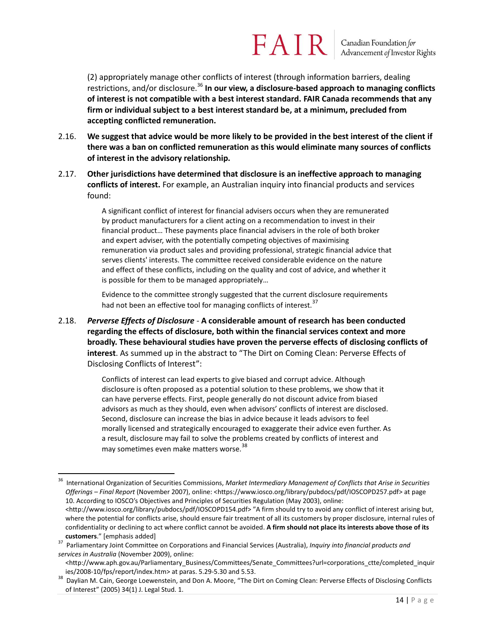(2) appropriately manage other conflicts of interest (through information barriers, dealing restrictions, and/or disclosure.<sup>36</sup> In our view, a disclosure-based approach to managing conflicts **of interest is not compatible with a best interest standard. FAIR Canada recommends that any firm or individual subject to a best interest standard be, at a minimum, precluded from accepting conflicted remuneration.** 

- 2.16. **We suggest that advice would be more likely to be provided in the best interest of the client if there was a ban on conflicted remuneration as this would eliminate many sources of conflicts of interest in the advisory relationship.**
- 2.17. **Other jurisdictions have determined that disclosure is an ineffective approach to managing conflicts of interest.** For example, an Australian inquiry into financial products and services found:

A significant conflict of interest for financial advisers occurs when they are remunerated by product manufacturers for a client acting on a recommendation to invest in their financial product… These payments place financial advisers in the role of both broker and expert adviser, with the potentially competing objectives of maximising remuneration via product sales and providing professional, strategic financial advice that serves clients' interests. The committee received considerable evidence on the nature and effect of these conflicts, including on the quality and cost of advice, and whether it is possible for them to be managed appropriately…

Evidence to the committee strongly suggested that the current disclosure requirements had not been an effective tool for managing conflicts of interest.<sup>37</sup>

2.18. *Perverse Effects of Disclosure -* **A considerable amount of research has been conducted regarding the effects of disclosure, both within the financial services context and more broadly. These behavioural studies have proven the perverse effects of disclosing conflicts of interest**. As summed up in the abstract to "The Dirt on Coming Clean: Perverse Effects of Disclosing Conflicts of Interest":

> Conflicts of interest can lead experts to give biased and corrupt advice. Although disclosure is often proposed as a potential solution to these problems, we show that it can have perverse effects. First, people generally do not discount advice from biased advisors as much as they should, even when advisors' conflicts of interest are disclosed. Second, disclosure can increase the bias in advice because it leads advisors to feel morally licensed and strategically encouraged to exaggerate their advice even further. As a result, disclosure may fail to solve the problems created by conflicts of interest and may sometimes even make matters worse.<sup>38</sup>

 $\overline{a}$ <sup>36</sup> International Organization of Securities Commissions, *Market Intermediary Management of Conflicts that Arise in Securities Offerings – Final Report* (November 2007), online: <https://www.iosco.org/library/pubdocs/pdf/IOSCOPD257.pdf> at page 10. According to IOSCO's Objectives and Principles of Securities Regulation (May 2003), online: <http://www.iosco.org/library/pubdocs/pdf/IOSCOPD154.pdf> "A firm should try to avoid any conflict of interest arising but, where the potential for conflicts arise, should ensure fair treatment of all its customers by proper disclosure, internal rules of confidentiality or declining to act where conflict cannot be avoided. **A firm should not place its interests above those of its customers."** [emphasis added]

<sup>37</sup> Parliamentary Joint Committee on Corporations and Financial Services (Australia), *Inquiry into financial products and services in Australia* (November 2009), online:

<sup>&</sup>lt;http://www.aph.gov.au/Parliamentary\_Business/Committees/Senate\_Committees?url=corporations\_ctte/completed\_inquir ies/2008-10/fps/report/index.htm> at paras. 5.29-5.30 and 5.53.

<sup>&</sup>lt;sup>38</sup> Davlian M. Cain, George Loewenstein, and Don A. Moore, "The Dirt on Coming Clean: Perverse Effects of Disclosing Conflicts of Interest" (2005) 34(1) J. Legal Stud. 1.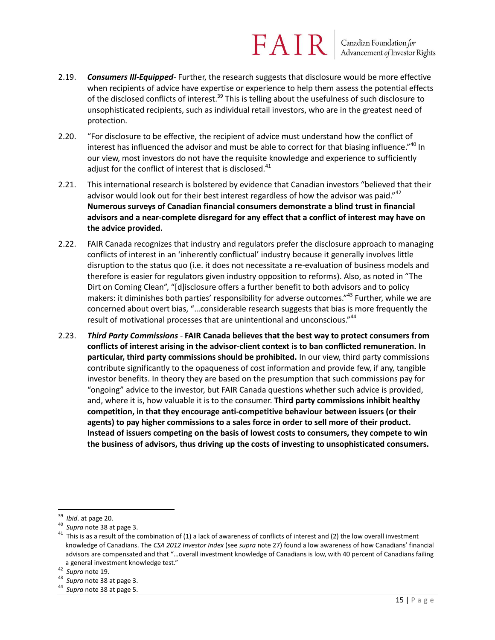- 2.19. *Consumers Ill-Equipped* Further, the research suggests that disclosure would be more effective when recipients of advice have expertise or experience to help them assess the potential effects of the disclosed conflicts of interest.<sup>39</sup> This is telling about the usefulness of such disclosure to unsophisticated recipients, such as individual retail investors, who are in the greatest need of protection.
- 2.20. "For disclosure to be effective, the recipient of advice must understand how the conflict of interest has influenced the advisor and must be able to correct for that biasing influence."<sup>40</sup> In our view, most investors do not have the requisite knowledge and experience to sufficiently adjust for the conflict of interest that is disclosed. $41$
- 2.21. This international research is bolstered by evidence that Canadian investors "believed that their advisor would look out for their best interest regardless of how the advisor was paid." $42$ **Numerous surveys of Canadian financial consumers demonstrate a blind trust in financial advisors and a near-complete disregard for any effect that a conflict of interest may have on the advice provided.**
- 2.22. FAIR Canada recognizes that industry and regulators prefer the disclosure approach to managing conflicts of interest in an 'inherently conflictual' industry because it generally involves little disruption to the status quo (i.e. it does not necessitate a re-evaluation of business models and therefore is easier for regulators given industry opposition to reforms). Also, as noted in "The Dirt on Coming Clean", "[d]isclosure offers a further benefit to both advisors and to policy makers: it diminishes both parties' responsibility for adverse outcomes."<sup>43</sup> Further, while we are concerned about overt bias, "…considerable research suggests that bias is more frequently the result of motivational processes that are unintentional and unconscious."<sup>44</sup>
- 2.23. *Third Party Commissions -* **FAIR Canada believes that the best way to protect consumers from conflicts of interest arising in the advisor-client context is to ban conflicted remuneration. In particular, third party commissions should be prohibited.** In our view, third party commissions contribute significantly to the opaqueness of cost information and provide few, if any, tangible investor benefits. In theory they are based on the presumption that such commissions pay for "ongoing" advice to the investor, but FAIR Canada questions whether such advice is provided, and, where it is, how valuable it is to the consumer. **Third party commissions inhibit healthy competition, in that they encourage anti-competitive behaviour between issuers (or their agents) to pay higher commissions to a sales force in order to sell more of their product. Instead of issuers competing on the basis of lowest costs to consumers, they compete to win the business of advisors, thus driving up the costs of investing to unsophisticated consumers.**

 $\overline{a}$ <sup>39</sup> *Ibid*. at page 20.

<sup>40</sup> *Supra* note 38 at page 3.

 $41$  This is as a result of the combination of (1) a lack of awareness of conflicts of interest and (2) the low overall investment knowledge of Canadians. The *CSA 2012 Investor Index* (see *supra* note 27) found a low awareness of how Canadians' financial advisors are compensated and that "…overall investment knowledge of Canadians is low, with 40 percent of Canadians failing a general investment knowledge test."

<sup>42</sup> *Supra* note 19.

<sup>43</sup> *Supra* note 38 at page 3.

<sup>44</sup> *Supra* note 38 at page 5.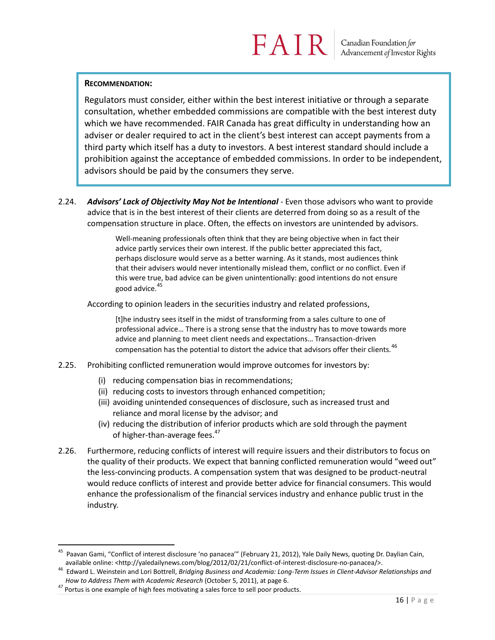#### **RECOMMENDATION:**

Regulators must consider, either within the best interest initiative or through a separate consultation, whether embedded commissions are compatible with the best interest duty which we have recommended. FAIR Canada has great difficulty in understanding how an adviser or dealer required to act in the client's best interest can accept payments from a third party which itself has a duty to investors. A best interest standard should include a prohibition against the acceptance of embedded commissions. In order to be independent, advisors should be paid by the consumers they serve.

2.24. *Advisors' Lack of Objectivity May Not be Intentional* - Even those advisors who want to provide advice that is in the best interest of their clients are deterred from doing so as a result of the compensation structure in place. Often, the effects on investors are unintended by advisors.

> Well-meaning professionals often think that they are being objective when in fact their advice partly services their own interest. If the public better appreciated this fact, perhaps disclosure would serve as a better warning. As it stands, most audiences think that their advisers would never intentionally mislead them, conflict or no conflict. Even if this were true, bad advice can be given unintentionally: good intentions do not ensure good advice.<sup>45</sup>

According to opinion leaders in the securities industry and related professions,

[t]he industry sees itself in the midst of transforming from a sales culture to one of professional advice… There is a strong sense that the industry has to move towards more advice and planning to meet client needs and expectations… Transaction-driven compensation has the potential to distort the advice that advisors offer their clients.  $46$ 

- 2.25. Prohibiting conflicted remuneration would improve outcomes for investors by:
	- (i) reducing compensation bias in recommendations;
	- (ii) reducing costs to investors through enhanced competition;
	- (iii) avoiding unintended consequences of disclosure, such as increased trust and reliance and moral license by the advisor; and
	- (iv) reducing the distribution of inferior products which are sold through the payment of higher-than-average fees.<sup>47</sup>
- 2.26. Furthermore, reducing conflicts of interest will require issuers and their distributors to focus on the quality of their products. We expect that banning conflicted remuneration would "weed out" the less-convincing products. A compensation system that was designed to be product-neutral would reduce conflicts of interest and provide better advice for financial consumers. This would enhance the professionalism of the financial services industry and enhance public trust in the industry.

<sup>&</sup>lt;sup>45</sup> Paavan Gami, "Conflict of interest disclosure 'no panacea'" (February 21, 2012), Yale Daily News, quoting Dr. Daylian Cain, available online: <http://yaledailynews.com/blog/2012/02/21/conflict-of-interest-disclosure-no-panacea/>.

<sup>46</sup> Edward L. Weinstein and Lori Bottrell, *Bridging Business and Academia: Long-Term Issues in Client-Advisor Relationships and How to Address Them with Academic Research* (October 5, 2011), at page 6.

 $47$  Portus is one example of high fees motivating a sales force to sell poor products.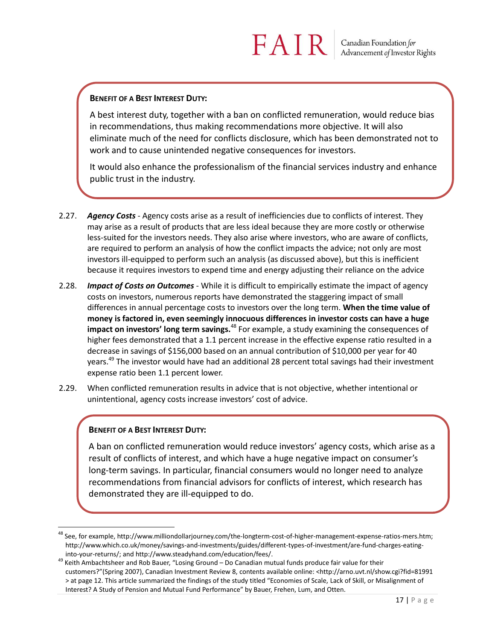#### **BENEFIT OF A BEST INTEREST DUTY:**

A best interest duty, together with a ban on conflicted remuneration, would reduce bias in recommendations, thus making recommendations more objective. It will also eliminate much of the need for conflicts disclosure, which has been demonstrated not to work and to cause unintended negative consequences for investors.

It would also enhance the professionalism of the financial services industry and enhance public trust in the industry.

- 2.27. *Agency Costs* Agency costs arise as a result of inefficiencies due to conflicts of interest. They may arise as a result of products that are less ideal because they are more costly or otherwise less-suited for the investors needs. They also arise where investors, who are aware of conflicts, are required to perform an analysis of how the conflict impacts the advice; not only are most investors ill-equipped to perform such an analysis (as discussed above), but this is inefficient because it requires investors to expend time and energy adjusting their reliance on the advice
- 2.28. *Impact of Costs on Outcomes* While it is difficult to empirically estimate the impact of agency costs on investors, numerous reports have demonstrated the staggering impact of small differences in annual percentage costs to investors over the long term. **When the time value of money is factored in, even seemingly innocuous differences in investor costs can have a huge impact on investors' long term savings.**<sup>48</sup> For example, a study examining the consequences of higher fees demonstrated that a 1.1 percent increase in the effective expense ratio resulted in a decrease in savings of \$156,000 based on an annual contribution of \$10,000 per year for 40 years.<sup>49</sup> The investor would have had an additional 28 percent total savings had their investment expense ratio been 1.1 percent lower.
- 2.29. When conflicted remuneration results in advice that is not objective, whether intentional or unintentional, agency costs increase investors' cost of advice.

#### **BENEFIT OF A BEST INTEREST DUTY:**

 $\overline{a}$ 

A ban on conflicted remuneration would reduce investors' agency costs, which arise as a result of conflicts of interest, and which have a huge negative impact on consumer's long-term savings. In particular, financial consumers would no longer need to analyze recommendations from financial advisors for conflicts of interest, which research has demonstrated they are ill-equipped to do.

<sup>48</sup> See, for example, http://www.milliondollarjourney.com/the-longterm-cost-of-higher-management-expense-ratios-mers.htm; http://www.which.co.uk/money/savings-and-investments/guides/different-types-of-investment/are-fund-charges-eatinginto-your-returns/; and http://www.steadyhand.com/education/fees/.

 $49$  Keith Ambachtsheer and Rob Bauer, "Losing Ground – Do Canadian mutual funds produce fair value for their customers?"(Spring 2007), Canadian Investment Review 8, contents available online: <http://arno.uvt.nl/show.cgi?fid=81991 > at page 12. This article summarized the findings of the study titled "Economies of Scale, Lack of Skill, or Misalignment of Interest? A Study of Pension and Mutual Fund Performance" by Bauer, Frehen, Lum, and Otten.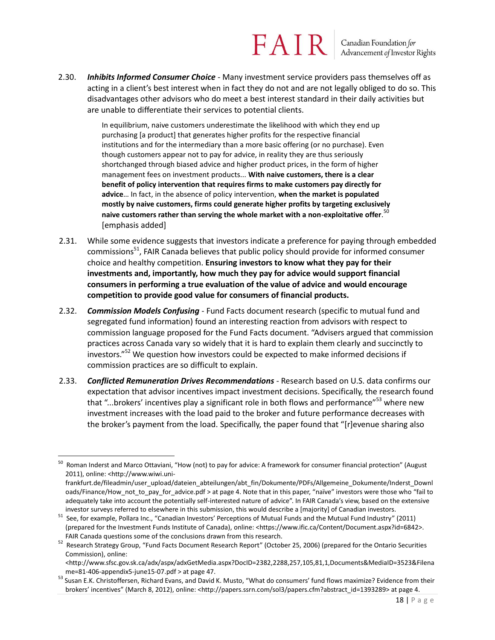Canadian Foundation for<br>Advancement of Investor Rights

2.30. *Inhibits Informed Consumer Choice* - Many investment service providers pass themselves off as acting in a client's best interest when in fact they do not and are not legally obliged to do so. This disadvantages other advisors who do meet a best interest standard in their daily activities but are unable to differentiate their services to potential clients.

> In equilibrium, naive customers underestimate the likelihood with which they end up purchasing [a product] that generates higher profits for the respective financial institutions and for the intermediary than a more basic offering (or no purchase). Even though customers appear not to pay for advice, in reality they are thus seriously shortchanged through biased advice and higher product prices, in the form of higher management fees on investment products... **With naive customers, there is a clear benefit of policy intervention that requires firms to make customers pay directly for advice**… In fact, in the absence of policy intervention, **when the market is populated mostly by naive customers, firms could generate higher profits by targeting exclusively naive customers rather than serving the whole market with a non-exploitative offer**. 50 [emphasis added]

- 2.31. While some evidence suggests that investors indicate a preference for paying through embedded commissions<sup>51</sup>, FAIR Canada believes that public policy should provide for informed consumer choice and healthy competition. **Ensuring investors to know what they pay for their investments and, importantly, how much they pay for advice would support financial consumers in performing a true evaluation of the value of advice and would encourage competition to provide good value for consumers of financial products.**
- 2.32. *Commission Models Confusing* Fund Facts document research (specific to mutual fund and segregated fund information) found an interesting reaction from advisors with respect to commission language proposed for the Fund Facts document. "Advisers argued that commission practices across Canada vary so widely that it is hard to explain them clearly and succinctly to investors."<sup>52</sup> We question how investors could be expected to make informed decisions if commission practices are so difficult to explain.
- 2.33. *Conflicted Remuneration Drives Recommendations* Research based on U.S. data confirms our expectation that advisor incentives impact investment decisions. Specifically, the research found that "...brokers' incentives play a significant role in both flows and performance"<sup>53</sup> where new investment increases with the load paid to the broker and future performance decreases with the broker's payment from the load. Specifically, the paper found that "[r]evenue sharing also

 50 Roman Inderst and Marco Ottaviani, "How (not) to pay for advice: A framework for consumer financial protection" (August 2011), online: <http://www.wiwi.uni-

frankfurt.de/fileadmin/user\_upload/dateien\_abteilungen/abt\_fin/Dokumente/PDFs/Allgemeine\_Dokumente/Inderst\_Downl oads/Finance/How not to pay for advice.pdf > at page 4. Note that in this paper, "naïve" investors were those who "fail to adequately take into account the potentially self-interested nature of advice". In FAIR Canada's view, based on the extensive investor surveys referred to elsewhere in this submission, this would describe a [majority] of Canadian investors.

<sup>&</sup>lt;sup>51</sup> See, for example, Pollara Inc., "Canadian Investors' Perceptions of Mutual Funds and the Mutual Fund Industry" (2011) (prepared for the Investment Funds Institute of Canada), online: <https://www.ific.ca/Content/Document.aspx?id=6842>. FAIR Canada questions some of the conclusions drawn from this research.

<sup>&</sup>lt;sup>52</sup> Research Strategy Group, "Fund Facts Document Research Report" (October 25, 2006) (prepared for the Ontario Securities Commission), online:

<sup>&</sup>lt;http://www.sfsc.gov.sk.ca/adx/aspx/adxGetMedia.aspx?DocID=2382,2288,257,105,81,1,Documents&MediaID=3523&Filena me=81-406-appendix5-june15-07.pdf > at page 47.

<sup>53</sup> Susan E.K. Christoffersen, Richard Evans, and David K. Musto, "What do consumers' fund flows maximize? Evidence from their brokers' incentives" (March 8, 2012), online: <http://papers.ssrn.com/sol3/papers.cfm?abstract\_id=1393289> at page 4.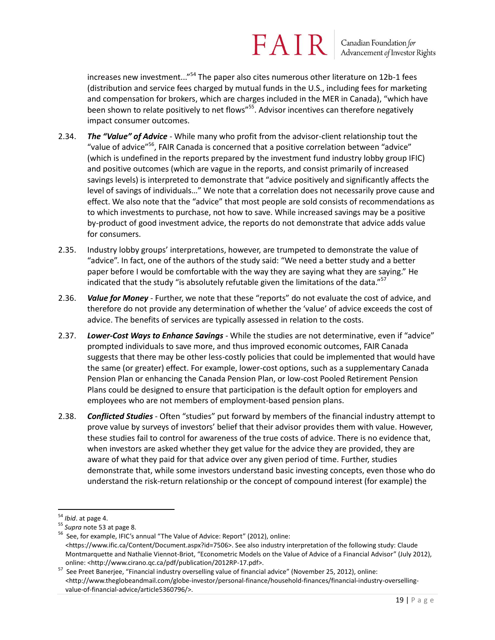Canadian Foundation for<br>Advancement of Investor Rights

increases new investment...<sup>"54</sup> The paper also cites numerous other literature on 12b-1 fees (distribution and service fees charged by mutual funds in the U.S., including fees for marketing and compensation for brokers, which are charges included in the MER in Canada), "which have been shown to relate positively to net flows"<sup>55</sup>. Advisor incentives can therefore negatively impact consumer outcomes.

- 2.34. *The "Value" of Advice* While many who profit from the advisor-client relationship tout the "value of advice"<sup>56</sup>, FAIR Canada is concerned that a positive correlation between "advice" (which is undefined in the reports prepared by the investment fund industry lobby group IFIC) and positive outcomes (which are vague in the reports, and consist primarily of increased savings levels) is interpreted to demonstrate that "advice positively and significantly affects the level of savings of individuals…" We note that a correlation does not necessarily prove cause and effect. We also note that the "advice" that most people are sold consists of recommendations as to which investments to purchase, not how to save. While increased savings may be a positive by-product of good investment advice, the reports do not demonstrate that advice adds value for consumers.
- 2.35. Industry lobby groups' interpretations, however, are trumpeted to demonstrate the value of "advice". In fact, one of the authors of the study said: "We need a better study and a better paper before I would be comfortable with the way they are saying what they are saying." He indicated that the study "is absolutely refutable given the limitations of the data."<sup>57</sup>
- 2.36. *Value for Money* Further, we note that these "reports" do not evaluate the cost of advice, and therefore do not provide any determination of whether the 'value' of advice exceeds the cost of advice. The benefits of services are typically assessed in relation to the costs.
- 2.37. *Lower-Cost Ways to Enhance Savings* While the studies are not determinative, even if "advice" prompted individuals to save more, and thus improved economic outcomes, FAIR Canada suggests that there may be other less-costly policies that could be implemented that would have the same (or greater) effect. For example, lower-cost options, such as a supplementary Canada Pension Plan or enhancing the Canada Pension Plan, or low-cost Pooled Retirement Pension Plans could be designed to ensure that participation is the default option for employers and employees who are not members of employment-based pension plans.
- 2.38. *Conflicted Studies* Often "studies" put forward by members of the financial industry attempt to prove value by surveys of investors' belief that their advisor provides them with value. However, these studies fail to control for awareness of the true costs of advice. There is no evidence that, when investors are asked whether they get value for the advice they are provided, they are aware of what they paid for that advice over any given period of time. Further, studies demonstrate that, while some investors understand basic investing concepts, even those who do understand the risk-return relationship or the concept of compound interest (for example) the

 $\overline{a}$ <sup>54</sup> *Ibid*. at page 4.

<sup>55</sup> *Supra* note 53 at page 8.

<sup>&</sup>lt;sup>56</sup> See, for example, IFIC's annual "The Value of Advice: Report" (2012), online: <https://www.ific.ca/Content/Document.aspx?id=7506>. See also industry interpretation of the following study: Claude Montmarquette and Nathalie Viennot-Briot, "Econometric Models on the Value of Advice of a Financial Advisor" (July 2012), online: <http://www.cirano.qc.ca/pdf/publication/2012RP-17.pdf>.

<sup>&</sup>lt;sup>57</sup> See Preet Banerjee, "Financial industry overselling value of financial advice" (November 25, 2012), online: <http://www.theglobeandmail.com/globe-investor/personal-finance/household-finances/financial-industry-oversellingvalue-of-financial-advice/article5360796/>.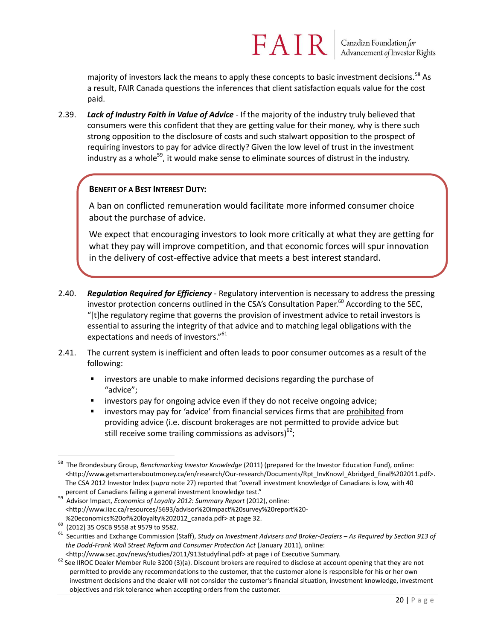majority of investors lack the means to apply these concepts to basic investment decisions.  $58$  As a result, FAIR Canada questions the inferences that client satisfaction equals value for the cost paid.

FAIR

2.39. *Lack of Industry Faith in Value of Advice* - If the majority of the industry truly believed that consumers were this confident that they are getting value for their money, why is there such strong opposition to the disclosure of costs and such stalwart opposition to the prospect of requiring investors to pay for advice directly? Given the low level of trust in the investment industry as a whole<sup>59</sup>, it would make sense to eliminate sources of distrust in the industry.

#### **BENEFIT OF A BEST INTEREST DUTY:**

A ban on conflicted remuneration would facilitate more informed consumer choice about the purchase of advice.

We expect that encouraging investors to look more critically at what they are getting for what they pay will improve competition, and that economic forces will spur innovation in the delivery of cost-effective advice that meets a best interest standard.

- 2.40. *Regulation Required for Efficiency* Regulatory intervention is necessary to address the pressing investor protection concerns outlined in the CSA's Consultation Paper. $^{60}$  According to the SEC, "[t]he regulatory regime that governs the provision of investment advice to retail investors is essential to assuring the integrity of that advice and to matching legal obligations with the expectations and needs of investors."<sup>61</sup>
- 2.41. The current system is inefficient and often leads to poor consumer outcomes as a result of the following:
	- investors are unable to make informed decisions regarding the purchase of "advice";
	- investors pay for ongoing advice even if they do not receive ongoing advice;
	- **EXED** investors may pay for 'advice' from financial services firms that are prohibited from providing advice (i.e. discount brokerages are not permitted to provide advice but still receive some trailing commissions as advisors)<sup>62</sup>;

 $\overline{a}$ <sup>58</sup> The Brondesbury Group, *Benchmarking Investor Knowledge* (2011) (prepared for the Investor Education Fund), online: <http://www.getsmarteraboutmoney.ca/en/research/Our-research/Documents/Rpt\_InvKnowl\_Abridged\_final%202011.pdf>. The CSA 2012 Investor Index (*supra* note 27) reported that "overall investment knowledge of Canadians is low, with 40 percent of Canadians failing a general investment knowledge test."

<sup>59</sup> Advisor Impact, *Economics of Loyalty 2012: Summary Report* (2012), online: <http://www.iiac.ca/resources/5693/advisor%20impact%20survey%20report%20- %20economics%20of%20loyalty%202012\_canada.pdf> at page 32.

<sup>60</sup> (2012) 35 OSCB 9558 at 9579 to 9582.

<sup>61</sup> Securities and Exchange Commission (Staff), *Study on Investment Advisers and Broker-Dealers – As Required by Section 913 of the Dodd-Frank Wall Street Reform and Consumer Protection Act* (January 2011), online:

<sup>&</sup>lt;http://www.sec.gov/news/studies/2011/913studyfinal.pdf> at page i of Executive Summary.

 $62$  See IIROC Dealer Member Rule 3200 (3)(a). Discount brokers are required to disclose at account opening that they are not permitted to provide any recommendations to the customer, that the customer alone is responsible for his or her own investment decisions and the dealer will not consider the customer's financial situation, investment knowledge, investment objectives and risk tolerance when accepting orders from the customer.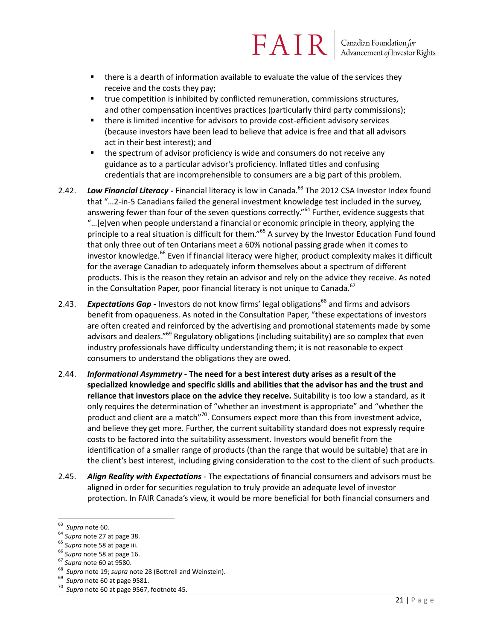#### FAIR Canadian Foundation for<br>Advancement of Investor Rights

- there is a dearth of information available to evaluate the value of the services they receive and the costs they pay;
- true competition is inhibited by conflicted remuneration, commissions structures, and other compensation incentives practices (particularly third party commissions);
- there is limited incentive for advisors to provide cost-efficient advisory services (because investors have been lead to believe that advice is free and that all advisors act in their best interest); and
- **the spectrum of advisor proficiency is wide and consumers do not receive any** guidance as to a particular advisor's proficiency. Inflated titles and confusing credentials that are incomprehensible to consumers are a big part of this problem.
- 2.42. *Low Financial Literacy* Financial literacy is low in Canada.<sup>63</sup> The 2012 CSA Investor Index found that "…2-in-5 Canadians failed the general investment knowledge test included in the survey, answering fewer than four of the seven questions correctly."<sup>64</sup> Further, evidence suggests that "...[e]ven when people understand a financial or economic principle in theory, applying the principle to a real situation is difficult for them."<sup>65</sup> A survey by the Investor Education Fund found that only three out of ten Ontarians meet a 60% notional passing grade when it comes to investor knowledge.<sup>66</sup> Even if financial literacy were higher, product complexity makes it difficult for the average Canadian to adequately inform themselves about a spectrum of different products. This is the reason they retain an advisor and rely on the advice they receive. As noted in the Consultation Paper, poor financial literacy is not unique to Canada. $67$
- 2.43. **Expectations Gap** Investors do not know firms' legal obligations<sup>68</sup> and firms and advisors benefit from opaqueness. As noted in the Consultation Paper, "these expectations of investors are often created and reinforced by the advertising and promotional statements made by some advisors and dealers."<sup>69</sup> Regulatory obligations (including suitability) are so complex that even industry professionals have difficulty understanding them; it is not reasonable to expect consumers to understand the obligations they are owed.
- 2.44. *Informational Asymmetry* **- The need for a best interest duty arises as a result of the specialized knowledge and specific skills and abilities that the advisor has and the trust and reliance that investors place on the advice they receive.** Suitability is too low a standard, as it only requires the determination of "whether an investment is appropriate" and "whether the product and client are a match"<sup>70</sup>. Consumers expect more than this from investment advice, and believe they get more. Further, the current suitability standard does not expressly require costs to be factored into the suitability assessment. Investors would benefit from the identification of a smaller range of products (than the range that would be suitable) that are in the client's best interest, including giving consideration to the cost to the client of such products.
- 2.45. *Align Reality with Expectations* The expectations of financial consumers and advisors must be aligned in order for securities regulation to truly provide an adequate level of investor protection. In FAIR Canada's view, it would be more beneficial for both financial consumers and

<sup>63</sup> *Supra* note 60.

<sup>64</sup> *Supra* note 27 at page 38.

<sup>65</sup> *Supra* note 58 at page iii.

<sup>66</sup> *Supra* note 58 at page 16.

<sup>67</sup> *Supra* note 60 at 9580.

<sup>68</sup> *Supra* note 19; *supra* note 28 (Bottrell and Weinstein).

<sup>69</sup> *Supra* note 60 at page 9581.

<sup>70</sup> *Supra* note 60 at page 9567, footnote 45.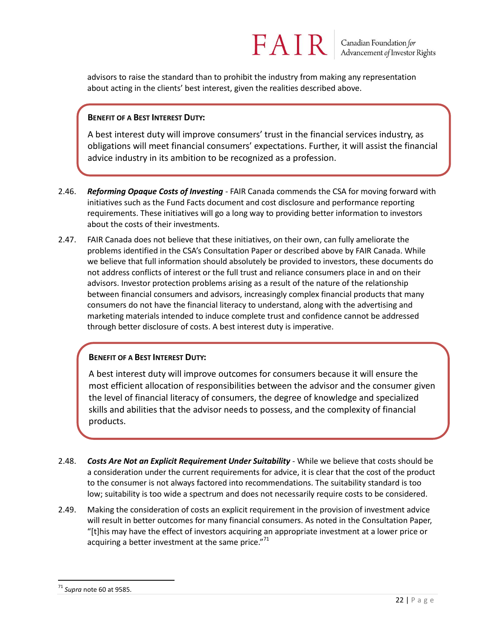advisors to raise the standard than to prohibit the industry from making any representation about acting in the clients' best interest, given the realities described above.

#### **BENEFIT OF A BEST INTEREST DUTY:**

A best interest duty will improve consumers' trust in the financial services industry, as obligations will meet financial consumers' expectations. Further, it will assist the financial advice industry in its ambition to be recognized as a profession.

- 2.46. *Reforming Opaque Costs of Investing* FAIR Canada commends the CSA for moving forward with initiatives such as the Fund Facts document and cost disclosure and performance reporting requirements. These initiatives will go a long way to providing better information to investors about the costs of their investments.
- 2.47. FAIR Canada does not believe that these initiatives, on their own, can fully ameliorate the problems identified in the CSA's Consultation Paper or described above by FAIR Canada. While we believe that full information should absolutely be provided to investors, these documents do not address conflicts of interest or the full trust and reliance consumers place in and on their advisors. Investor protection problems arising as a result of the nature of the relationship between financial consumers and advisors, increasingly complex financial products that many consumers do not have the financial literacy to understand, along with the advertising and marketing materials intended to induce complete trust and confidence cannot be addressed through better disclosure of costs. A best interest duty is imperative.

#### **BENEFIT OF A BEST INTEREST DUTY:**

A best interest duty will improve outcomes for consumers because it will ensure the most efficient allocation of responsibilities between the advisor and the consumer given the level of financial literacy of consumers, the degree of knowledge and specialized skills and abilities that the advisor needs to possess, and the complexity of financial products.

- 2.48. *Costs Are Not an Explicit Requirement Under Suitability* While we believe that costs should be a consideration under the current requirements for advice, it is clear that the cost of the product to the consumer is not always factored into recommendations. The suitability standard is too low; suitability is too wide a spectrum and does not necessarily require costs to be considered.
- 2.49. Making the consideration of costs an explicit requirement in the provision of investment advice will result in better outcomes for many financial consumers. As noted in the Consultation Paper, "[t]his may have the effect of investors acquiring an appropriate investment at a lower price or acquiring a better investment at the same price." $71$

 $\overline{a}$ <sup>71</sup> *Supra* note 60 at 9585.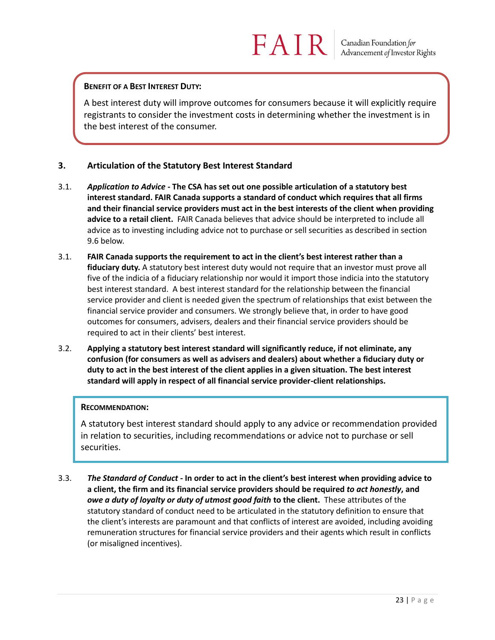#### **BENEFIT OF A BEST INTEREST DUTY:**

A best interest duty will improve outcomes for consumers because it will explicitly require registrants to consider the investment costs in determining whether the investment is in the best interest of the consumer.

#### **3. Articulation of the Statutory Best Interest Standard**

- 3.1. *Application to Advice* **- The CSA has set out one possible articulation of a statutory best interest standard. FAIR Canada supports a standard of conduct which requires that all firms and their financial service providers must act in the best interests of the client when providing advice to a retail client.** FAIR Canada believes that advice should be interpreted to include all advice as to investing including advice not to purchase or sell securities as described in section 9.6 below.
- 3.1. **FAIR Canada supports the requirement to act in the client's best interest rather than a fiduciary duty.** A statutory best interest duty would not require that an investor must prove all five of the indicia of a fiduciary relationship nor would it import those indicia into the statutory best interest standard. A best interest standard for the relationship between the financial service provider and client is needed given the spectrum of relationships that exist between the financial service provider and consumers. We strongly believe that, in order to have good outcomes for consumers, advisers, dealers and their financial service providers should be required to act in their clients' best interest.
- 3.2. **Applying a statutory best interest standard will significantly reduce, if not eliminate, any confusion (for consumers as well as advisers and dealers) about whether a fiduciary duty or duty to act in the best interest of the client applies in a given situation. The best interest standard will apply in respect of all financial service provider-client relationships.**

#### **RECOMMENDATION:**

A statutory best interest standard should apply to any advice or recommendation provided in relation to securities, including recommendations or advice not to purchase or sell securities.

3.3. *The Standard of Conduct* **- In order to act in the client's best interest when providing advice to a client, the firm and its financial service providers should be required** *to act honestly***, and**  *owe a duty of loyalty or duty of utmost good faith* **to the client.** These attributes of the statutory standard of conduct need to be articulated in the statutory definition to ensure that the client's interests are paramount and that conflicts of interest are avoided, including avoiding remuneration structures for financial service providers and their agents which result in conflicts (or misaligned incentives).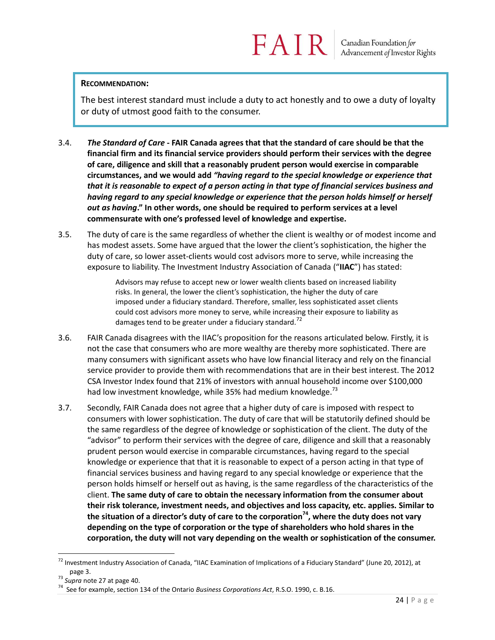#### **RECOMMENDATION:**

The best interest standard must include a duty to act honestly and to owe a duty of loyalty or duty of utmost good faith to the consumer.

- 3.4. *The Standard of Care* **- FAIR Canada agrees that that the standard of care should be that the financial firm and its financial service providers should perform their services with the degree of care, diligence and skill that a reasonably prudent person would exercise in comparable circumstances, and we would add** *"having regard to the special knowledge or experience that that it is reasonable to expect of a person acting in that type of financial services business and having regard to any special knowledge or experience that the person holds himself or herself out as having***." In other words, one should be required to perform services at a level commensurate with one's professed level of knowledge and expertise.**
- 3.5. The duty of care is the same regardless of whether the client is wealthy or of modest income and has modest assets. Some have argued that the lower th*e* client's sophistication, the higher the duty of care, so lower asset-clients would cost advisors more to serve, while increasing the exposure to liability. The Investment Industry Association of Canada ("**IIAC**") has stated:

Advisors may refuse to accept new or lower wealth clients based on increased liability risks. In general, the lower the client's sophistication, the higher the duty of care imposed under a fiduciary standard. Therefore, smaller, less sophisticated asset clients could cost advisors more money to serve, while increasing their exposure to liability as damages tend to be greater under a fiduciary standard.<sup>72</sup>

- 3.6. FAIR Canada disagrees with the IIAC's proposition for the reasons articulated below. Firstly, it is not the case that consumers who are more wealthy are thereby more sophisticated. There are many consumers with significant assets who have low financial literacy and rely on the financial service provider to provide them with recommendations that are in their best interest. The 2012 CSA Investor Index found that 21% of investors with annual household income over \$100,000 had low investment knowledge, while 35% had medium knowledge.<sup>73</sup>
- 3.7. Secondly, FAIR Canada does not agree that a higher duty of care is imposed with respect to consumers with lower sophistication. The duty of care that will be statutorily defined should be the same regardless of the degree of knowledge or sophistication of the client. The duty of the "advisor" to perform their services with the degree of care, diligence and skill that a reasonably prudent person would exercise in comparable circumstances, having regard to the special knowledge or experience that that it is reasonable to expect of a person acting in that type of financial services business and having regard to any special knowledge or experience that the person holds himself or herself out as having, is the same regardless of the characteristics of the client. **The same duty of care to obtain the necessary information from the consumer about their risk tolerance, investment needs, and objectives and loss capacity, etc. applies. Similar to the situation of a director's duty of care to the corporation<sup>74</sup> , where the duty does not vary depending on the type of corporation or the type of shareholders who hold shares in the corporation, the duty will not vary depending on the wealth or sophistication of the consumer.**

<sup>&</sup>lt;sup>72</sup> Investment Industry Association of Canada, "IIAC Examination of Implications of a Fiduciary Standard" (June 20, 2012), at page 3.

<sup>73</sup> *Supra* note 27 at page 40.

<sup>74</sup> See for example, section 134 of the Ontario *Business Corporations Act*, R.S.O. 1990, c. B.16.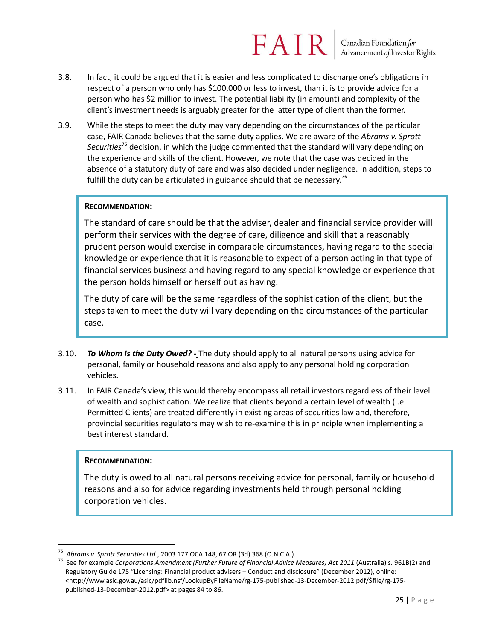Canadian Foundation for Advancement of Investor Rights

- 3.8. In fact, it could be argued that it is easier and less complicated to discharge one's obligations in respect of a person who only has \$100,000 or less to invest, than it is to provide advice for a person who has \$2 million to invest. The potential liability (in amount) and complexity of the client's investment needs is arguably greater for the latter type of client than the former.
- 3.9. While the steps to meet the duty may vary depending on the circumstances of the particular case, FAIR Canada believes that the same duty applies. We are aware of the *Abrams v. Sprott Securities*<sup>75</sup> decision, in which the judge commented that the standard will vary depending on the experience and skills of the client. However, we note that the case was decided in the absence of a statutory duty of care and was also decided under negligence. In addition, steps to fulfill the duty can be articulated in guidance should that be necessary.<sup>76</sup>

#### **RECOMMENDATION:**

The standard of care should be that the adviser, dealer and financial service provider will perform their services with the degree of care, diligence and skill that a reasonably prudent person would exercise in comparable circumstances, having regard to the special knowledge or experience that it is reasonable to expect of a person acting in that type of financial services business and having regard to any special knowledge or experience that the person holds himself or herself out as having.

The duty of care will be the same regardless of the sophistication of the client, but the steps taken to meet the duty will vary depending on the circumstances of the particular case.

- 3.10. *To Whom Is the Duty Owed? -* The duty should apply to all natural persons using advice for personal, family or household reasons and also apply to any personal holding corporation vehicles.
- 3.11. In FAIR Canada's view, this would thereby encompass all retail investors regardless of their level of wealth and sophistication. We realize that clients beyond a certain level of wealth (i.e. Permitted Clients) are treated differently in existing areas of securities law and, therefore, provincial securities regulators may wish to re-examine this in principle when implementing a best interest standard.

#### **RECOMMENDATION:**

 $\overline{a}$ 

The duty is owed to all natural persons receiving advice for personal, family or household reasons and also for advice regarding investments held through personal holding corporation vehicles.

<sup>75</sup> *Abrams v. Sprott Securities Ltd.*, 2003 177 OCA 148, 67 OR (3d) 368 (O.N.C.A.).

<sup>76</sup> See for example *Corporations Amendment (Further Future of Financial Advice Measures) Act 2011* (Australia) s. 961B(2) and Regulatory Guide 175 "Licensing: Financial product advisers – Conduct and disclosure" (December 2012), online: <http://www.asic.gov.au/asic/pdflib.nsf/LookupByFileName/rg-175-published-13-December-2012.pdf/\$file/rg-175 published-13-December-2012.pdf> at pages 84 to 86.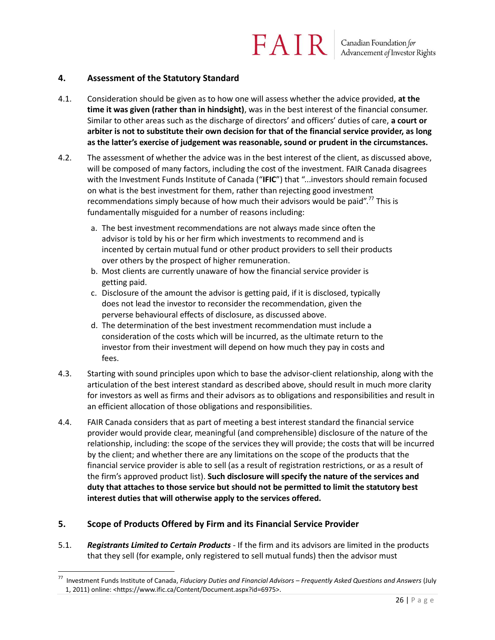#### **4. Assessment of the Statutory Standard**

- 4.1. Consideration should be given as to how one will assess whether the advice provided, **at the time it was given (rather than in hindsight)**, was in the best interest of the financial consumer. Similar to other areas such as the discharge of directors' and officers' duties of care, **a court or arbiter is not to substitute their own decision for that of the financial service provider, as long as the latter's exercise of judgement was reasonable, sound or prudent in the circumstances.**
- 4.2. The assessment of whether the advice was in the best interest of the client, as discussed above, will be composed of many factors, including the cost of the investment. FAIR Canada disagrees with the Investment Funds Institute of Canada ("**IFIC**") that "...investors should remain focused on what is the best investment for them, rather than rejecting good investment recommendations simply because of how much their advisors would be paid".<sup>77</sup> This is fundamentally misguided for a number of reasons including:
	- a. The best investment recommendations are not always made since often the advisor is told by his or her firm which investments to recommend and is incented by certain mutual fund or other product providers to sell their products over others by the prospect of higher remuneration.
	- b. Most clients are currently unaware of how the financial service provider is getting paid.
	- c. Disclosure of the amount the advisor is getting paid, if it is disclosed, typically does not lead the investor to reconsider the recommendation, given the perverse behavioural effects of disclosure, as discussed above.
	- d. The determination of the best investment recommendation must include a consideration of the costs which will be incurred, as the ultimate return to the investor from their investment will depend on how much they pay in costs and fees.
- 4.3. Starting with sound principles upon which to base the advisor-client relationship, along with the articulation of the best interest standard as described above, should result in much more clarity for investors as well as firms and their advisors as to obligations and responsibilities and result in an efficient allocation of those obligations and responsibilities.
- 4.4. FAIR Canada considers that as part of meeting a best interest standard the financial service provider would provide clear, meaningful (and comprehensible) disclosure of the nature of the relationship, including: the scope of the services they will provide; the costs that will be incurred by the client; and whether there are any limitations on the scope of the products that the financial service provider is able to sell (as a result of registration restrictions, or as a result of the firm's approved product list). **Such disclosure will specify the nature of the services and duty that attaches to those service but should not be permitted to limit the statutory best interest duties that will otherwise apply to the services offered.**

#### **5. Scope of Products Offered by Firm and its Financial Service Provider**

 $\overline{a}$ 

5.1. *Registrants Limited to Certain Products* - If the firm and its advisors are limited in the products that they sell (for example, only registered to sell mutual funds) then the advisor must

<sup>77</sup> Investment Funds Institute of Canada, *Fiduciary Duties and Financial Advisors – Frequently Asked Questions and Answers* (July 1, 2011) online: <https://www.ific.ca/Content/Document.aspx?id=6975>.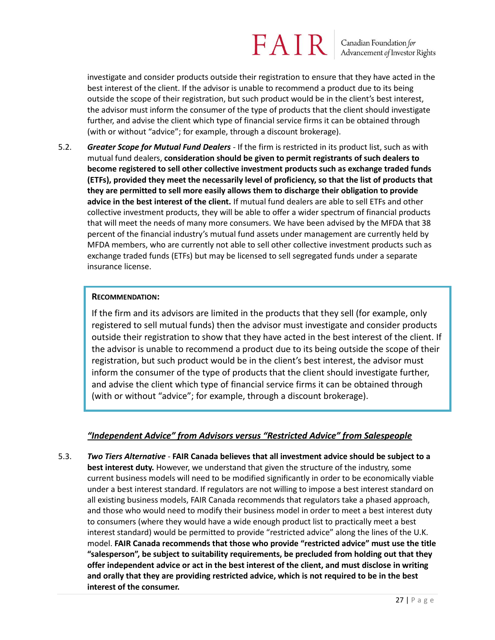Canadian Foundation for Advancement of Investor Rights

investigate and consider products outside their registration to ensure that they have acted in the best interest of the client. If the advisor is unable to recommend a product due to its being outside the scope of their registration, but such product would be in the client's best interest, the advisor must inform the consumer of the type of products that the client should investigate further, and advise the client which type of financial service firms it can be obtained through (with or without "advice"; for example, through a discount brokerage).

5.2. *Greater Scope for Mutual Fund Dealers* - If the firm is restricted in its product list, such as with mutual fund dealers, **consideration should be given to permit registrants of such dealers to become registered to sell other collective investment products such as exchange traded funds (ETFs), provided they meet the necessarily level of proficiency, so that the list of products that they are permitted to sell more easily allows them to discharge their obligation to provide advice in the best interest of the client.** If mutual fund dealers are able to sell ETFs and other collective investment products, they will be able to offer a wider spectrum of financial products that will meet the needs of many more consumers. We have been advised by the MFDA that 38 percent of the financial industry's mutual fund assets under management are currently held by MFDA members, who are currently not able to sell other collective investment products such as exchange traded funds (ETFs) but may be licensed to sell segregated funds under a separate insurance license.

#### **RECOMMENDATION:**

If the firm and its advisors are limited in the products that they sell (for example, only registered to sell mutual funds) then the advisor must investigate and consider products outside their registration to show that they have acted in the best interest of the client. If the advisor is unable to recommend a product due to its being outside the scope of their registration, but such product would be in the client's best interest, the advisor must inform the consumer of the type of products that the client should investigate further, and advise the client which type of financial service firms it can be obtained through (with or without "advice"; for example, through a discount brokerage).

#### *"Independent Advice" from Advisors versus "Restricted Advice" from Salespeople*

5.3. *Two Tiers Alternative -* **FAIR Canada believes that all investment advice should be subject to a best interest duty.** However, we understand that given the structure of the industry, some current business models will need to be modified significantly in order to be economically viable under a best interest standard. If regulators are not willing to impose a best interest standard on all existing business models, FAIR Canada recommends that regulators take a phased approach, and those who would need to modify their business model in order to meet a best interest duty to consumers (where they would have a wide enough product list to practically meet a best interest standard) would be permitted to provide "restricted advice" along the lines of the U.K. model. **FAIR Canada recommends that those who provide "restricted advice" must use the title "salesperson", be subject to suitability requirements, be precluded from holding out that they offer independent advice or act in the best interest of the client, and must disclose in writing and orally that they are providing restricted advice, which is not required to be in the best interest of the consumer.**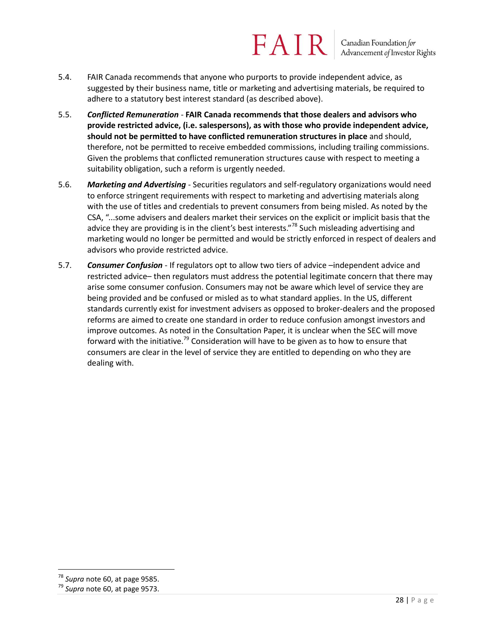#### FAIR Canadian Foundation for<br>Advancement of Investor Rights

- 5.4. FAIR Canada recommends that anyone who purports to provide independent advice, as suggested by their business name, title or marketing and advertising materials, be required to adhere to a statutory best interest standard (as described above).
- 5.5. *Conflicted Remuneration -* **FAIR Canada recommends that those dealers and advisors who provide restricted advice, (i.e. salespersons), as with those who provide independent advice, should not be permitted to have conflicted remuneration structures in place** and should, therefore, not be permitted to receive embedded commissions, including trailing commissions. Given the problems that conflicted remuneration structures cause with respect to meeting a suitability obligation, such a reform is urgently needed.
- 5.6. *Marketing and Advertising* Securities regulators and self-regulatory organizations would need to enforce stringent requirements with respect to marketing and advertising materials along with the use of titles and credentials to prevent consumers from being misled. As noted by the CSA, "...some advisers and dealers market their services on the explicit or implicit basis that the advice they are providing is in the client's best interests."<sup>78</sup> Such misleading advertising and marketing would no longer be permitted and would be strictly enforced in respect of dealers and advisors who provide restricted advice.
- 5.7. *Consumer Confusion* If regulators opt to allow two tiers of advice –independent advice and restricted advice– then regulators must address the potential legitimate concern that there may arise some consumer confusion. Consumers may not be aware which level of service they are being provided and be confused or misled as to what standard applies. In the US, different standards currently exist for investment advisers as opposed to broker-dealers and the proposed reforms are aimed to create one standard in order to reduce confusion amongst investors and improve outcomes. As noted in the Consultation Paper, it is unclear when the SEC will move forward with the initiative.<sup>79</sup> Consideration will have to be given as to how to ensure that consumers are clear in the level of service they are entitled to depending on who they are dealing with.

<sup>78</sup> *Supra* note 60, at page 9585.

<sup>79</sup> *Supra* note 60, at page 9573.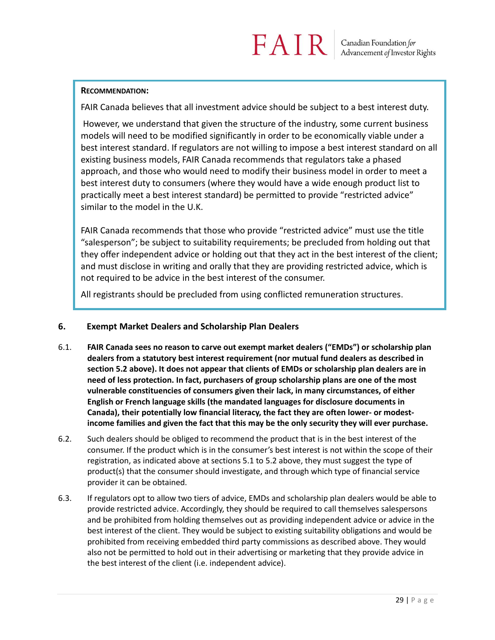#### **RECOMMENDATION:**

FAIR Canada believes that all investment advice should be subject to a best interest duty.

However, we understand that given the structure of the industry, some current business models will need to be modified significantly in order to be economically viable under a best interest standard. If regulators are not willing to impose a best interest standard on all existing business models, FAIR Canada recommends that regulators take a phased approach, and those who would need to modify their business model in order to meet a best interest duty to consumers (where they would have a wide enough product list to practically meet a best interest standard) be permitted to provide "restricted advice" similar to the model in the U.K.

FAIR Canada recommends that those who provide "restricted advice" must use the title "salesperson"; be subject to suitability requirements; be precluded from holding out that they offer independent advice or holding out that they act in the best interest of the client; and must disclose in writing and orally that they are providing restricted advice, which is not required to be advice in the best interest of the consumer.

All registrants should be precluded from using conflicted remuneration structures.

#### **6. Exempt Market Dealers and Scholarship Plan Dealers**

- 6.1. **FAIR Canada sees no reason to carve out exempt market dealers ("EMDs") or scholarship plan dealers from a statutory best interest requirement (nor mutual fund dealers as described in section 5.2 above). It does not appear that clients of EMDs or scholarship plan dealers are in need of less protection. In fact, purchasers of group scholarship plans are one of the most vulnerable constituencies of consumers given their lack, in many circumstances, of either English or French language skills (the mandated languages for disclosure documents in Canada), their potentially low financial literacy, the fact they are often lower- or modestincome families and given the fact that this may be the only security they will ever purchase.**
- 6.2. Such dealers should be obliged to recommend the product that is in the best interest of the consumer. If the product which is in the consumer's best interest is not within the scope of their registration, as indicated above at sections 5.1 to 5.2 above, they must suggest the type of product(s) that the consumer should investigate, and through which type of financial service provider it can be obtained.
- 6.3. If regulators opt to allow two tiers of advice, EMDs and scholarship plan dealers would be able to provide restricted advice. Accordingly, they should be required to call themselves salespersons and be prohibited from holding themselves out as providing independent advice or advice in the best interest of the client. They would be subject to existing suitability obligations and would be prohibited from receiving embedded third party commissions as described above. They would also not be permitted to hold out in their advertising or marketing that they provide advice in the best interest of the client (i.e. independent advice).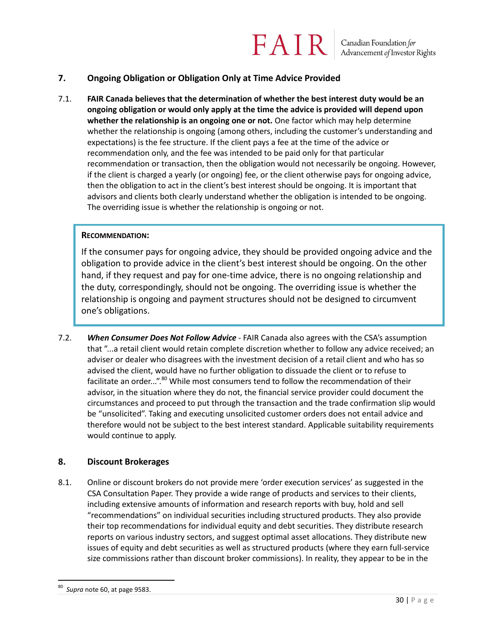Canadian Foundation for<br>Advancement of Investor Rights

#### **7. Ongoing Obligation or Obligation Only at Time Advice Provided**

7.1. **FAIR Canada believes that the determination of whether the best interest duty would be an ongoing obligation or would only apply at the time the advice is provided will depend upon whether the relationship is an ongoing one or not.** One factor which may help determine whether the relationship is ongoing (among others, including the customer's understanding and expectations) is the fee structure. If the client pays a fee at the time of the advice or recommendation only, and the fee was intended to be paid only for that particular recommendation or transaction, then the obligation would not necessarily be ongoing. However, if the client is charged a yearly (or ongoing) fee, or the client otherwise pays for ongoing advice, then the obligation to act in the client's best interest should be ongoing. It is important that advisors and clients both clearly understand whether the obligation is intended to be ongoing. The overriding issue is whether the relationship is ongoing or not.

FAIR

#### **RECOMMENDATION:**

If the consumer pays for ongoing advice, they should be provided ongoing advice and the obligation to provide advice in the client's best interest should be ongoing. On the other hand, if they request and pay for one-time advice, there is no ongoing relationship and the duty, correspondingly, should not be ongoing. The overriding issue is whether the relationship is ongoing and payment structures should not be designed to circumvent one's obligations.

7.2. *When Consumer Does Not Follow Advice* - FAIR Canada also agrees with the CSA's assumption that "...a retail client would retain complete discretion whether to follow any advice received; an adviser or dealer who disagrees with the investment decision of a retail client and who has so advised the client, would have no further obligation to dissuade the client or to refuse to facilitate an order...".<sup>80</sup> While most consumers tend to follow the recommendation of their advisor, in the situation where they do not, the financial service provider could document the circumstances and proceed to put through the transaction and the trade confirmation slip would be "unsolicited". Taking and executing unsolicited customer orders does not entail advice and therefore would not be subject to the best interest standard. Applicable suitability requirements would continue to apply.

#### **8. Discount Brokerages**

8.1. Online or discount brokers do not provide mere 'order execution services' as suggested in the CSA Consultation Paper. They provide a wide range of products and services to their clients, including extensive amounts of information and research reports with buy, hold and sell "recommendations" on individual securities including structured products. They also provide their top recommendations for individual equity and debt securities. They distribute research reports on various industry sectors, and suggest optimal asset allocations. They distribute new issues of equity and debt securities as well as structured products (where they earn full-service size commissions rather than discount broker commissions). In reality, they appear to be in the

<sup>80</sup> *Supra* note 60, at page 9583.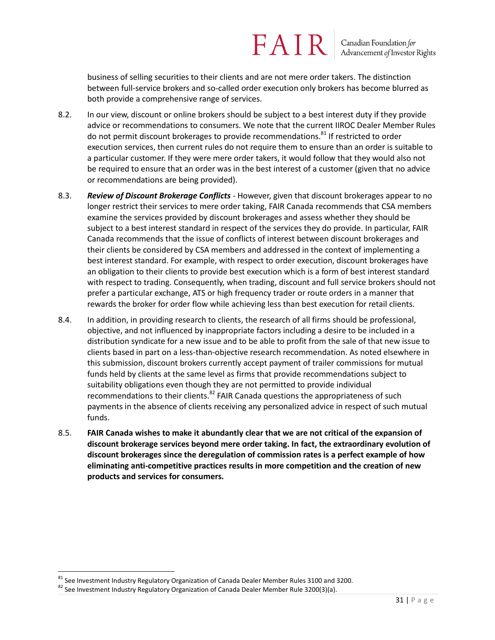business of selling securities to their clients and are not mere order takers. The distinction between full-service brokers and so-called order execution only brokers has become blurred as both provide a comprehensive range of services.

- 8.2. In our view, discount or online brokers should be subject to a best interest duty if they provide advice or recommendations to consumers. We note that the current IIROC Dealer Member Rules do not permit discount brokerages to provide recommendations.<sup>81</sup> If restricted to order execution services, then current rules do not require them to ensure than an order is suitable to a particular customer. If they were mere order takers, it would follow that they would also not be required to ensure that an order was in the best interest of a customer (given that no advice or recommendations are being provided).
- 8.3. *Review of Discount Brokerage Conflicts* However, given that discount brokerages appear to no longer restrict their services to mere order taking, FAIR Canada recommends that CSA members examine the services provided by discount brokerages and assess whether they should be subject to a best interest standard in respect of the services they do provide. In particular, FAIR Canada recommends that the issue of conflicts of interest between discount brokerages and their clients be considered by CSA members and addressed in the context of implementing a best interest standard. For example, with respect to order execution, discount brokerages have an obligation to their clients to provide best execution which is a form of best interest standard with respect to trading. Consequently, when trading, discount and full service brokers should not prefer a particular exchange, ATS or high frequency trader or route orders in a manner that rewards the broker for order flow while achieving less than best execution for retail clients.
- 8.4. In addition, in providing research to clients, the research of all firms should be professional, objective, and not influenced by inappropriate factors including a desire to be included in a distribution syndicate for a new issue and to be able to profit from the sale of that new issue to clients based in part on a less-than-objective research recommendation. As noted elsewhere in this submission, discount brokers currently accept payment of trailer commissions for mutual funds held by clients at the same level as firms that provide recommendations subject to suitability obligations even though they are not permitted to provide individual recommendations to their clients. ${}^{82}$  FAIR Canada questions the appropriateness of such payments in the absence of clients receiving any personalized advice in respect of such mutual funds.
- 8.5. **FAIR Canada wishes to make it abundantly clear that we are not critical of the expansion of discount brokerage services beyond mere order taking. In fact, the extraordinary evolution of discount brokerages since the deregulation of commission rates is a perfect example of how eliminating anti-competitive practices results in more competition and the creation of new products and services for consumers.**

<sup>&</sup>lt;sup>81</sup> See Investment Industry Regulatory Organization of Canada Dealer Member Rules 3100 and 3200.

 $82$  See Investment Industry Regulatory Organization of Canada Dealer Member Rule 3200(3)(a).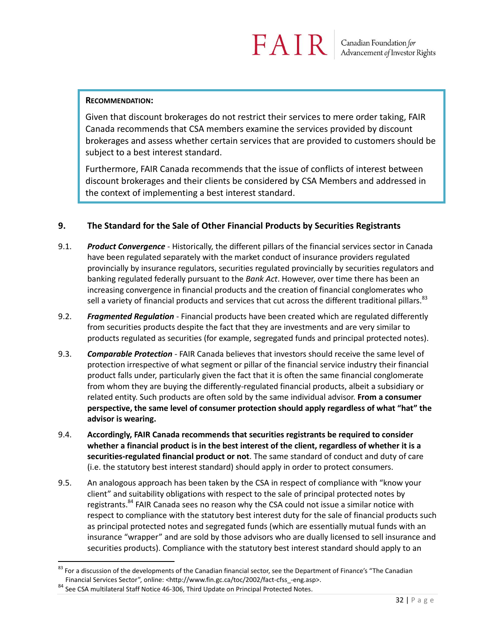#### **RECOMMENDATION:**

Given that discount brokerages do not restrict their services to mere order taking, FAIR Canada recommends that CSA members examine the services provided by discount brokerages and assess whether certain services that are provided to customers should be subject to a best interest standard.

Furthermore, FAIR Canada recommends that the issue of conflicts of interest between discount brokerages and their clients be considered by CSA Members and addressed in the context of implementing a best interest standard.

#### **9. The Standard for the Sale of Other Financial Products by Securities Registrants**

- 9.1. *Product Convergence* Historically, the different pillars of the financial services sector in Canada have been regulated separately with the market conduct of insurance providers regulated provincially by insurance regulators, securities regulated provincially by securities regulators and banking regulated federally pursuant to the *Bank Act*. However, over time there has been an increasing convergence in financial products and the creation of financial conglomerates who sell a variety of financial products and services that cut across the different traditional pillars.<sup>83</sup>
- 9.2. *Fragmented Regulation* Financial products have been created which are regulated differently from securities products despite the fact that they are investments and are very similar to products regulated as securities (for example, segregated funds and principal protected notes).
- 9.3. *Comparable Protection* FAIR Canada believes that investors should receive the same level of protection irrespective of what segment or pillar of the financial service industry their financial product falls under, particularly given the fact that it is often the same financial conglomerate from whom they are buying the differently-regulated financial products, albeit a subsidiary or related entity. Such products are often sold by the same individual advisor. **From a consumer perspective, the same level of consumer protection should apply regardless of what "hat" the advisor is wearing.**
- 9.4. **Accordingly, FAIR Canada recommends that securities registrants be required to consider whether a financial product is in the best interest of the client, regardless of whether it is a securities-regulated financial product or not**. The same standard of conduct and duty of care (i.e. the statutory best interest standard) should apply in order to protect consumers.
- 9.5. An analogous approach has been taken by the CSA in respect of compliance with "know your client" and suitability obligations with respect to the sale of principal protected notes by registrants.<sup>84</sup> FAIR Canada sees no reason why the CSA could not issue a similar notice with respect to compliance with the statutory best interest duty for the sale of financial products such as principal protected notes and segregated funds (which are essentially mutual funds with an insurance "wrapper" and are sold by those advisors who are dually licensed to sell insurance and securities products). Compliance with the statutory best interest standard should apply to an

 $83$  For a discussion of the developments of the Canadian financial sector, see the Department of Finance's "The Canadian Financial Services Sector", online: <http://www.fin.gc.ca/toc/2002/fact-cfss\_-eng.asp>.

<sup>84</sup> See CSA multilateral Staff Notice 46-306, Third Update on Principal Protected Notes.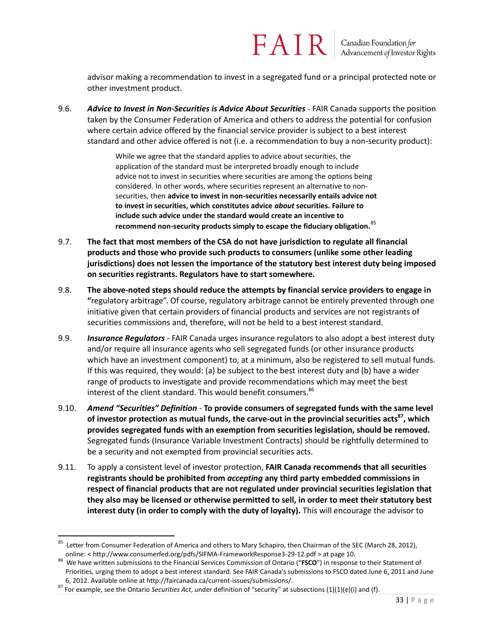advisor making a recommendation to invest in a segregated fund or a principal protected note or other investment product.

9.6. *Advice to Invest in Non-Securities is Advice About Securities* - FAIR Canada supports the position taken by the Consumer Federation of America and others to address the potential for confusion where certain advice offered by the financial service provider is subject to a best interest standard and other advice offered is not (i.e. a recommendation to buy a non-security product):

> While we agree that the standard applies to advice about securities, the application of the standard must be interpreted broadly enough to include advice not to invest in securities where securities are among the options being considered. In other words, where securities represent an alternative to nonsecurities, then **advice to invest in non-securities necessarily entails advice not to invest in securities, which constitutes advice** *about* **securities. Failure to include such advice under the standard would create an incentive to recommend non-security products simply to escape the fiduciary obligation.**<sup>85</sup>

- 9.7. **The fact that most members of the CSA do not have jurisdiction to regulate all financial products and those who provide such products to consumers (unlike some other leading jurisdictions) does not lessen the importance of the statutory best interest duty being imposed on securities registrants. Regulators have to start somewhere.**
- 9.8. **The above-noted steps should reduce the attempts by financial service providers to engage in "**regulatory arbitrage". Of course, regulatory arbitrage cannot be entirely prevented through one initiative given that certain providers of financial products and services are not registrants of securities commissions and, therefore, will not be held to a best interest standard.
- 9.9. *Insurance Regulators* FAIR Canada urges insurance regulators to also adopt a best interest duty and/or require all insurance agents who sell segregated funds (or other insurance products which have an investment component) to, at a minimum, also be registered to sell mutual funds. If this was required, they would: (a) be subject to the best interest duty and (b) have a wider range of products to investigate and provide recommendations which may meet the best interest of the client standard. This would benefit consumers.<sup>86</sup>
- 9.10. *Amend "Securities" Definition -* **To provide consumers of segregated funds with the same level of investor protection as mutual funds, the carve-out in the provincial securities acts<sup>87</sup>, which provides segregated funds with an exemption from securities legislation, should be removed.**  Segregated funds (Insurance Variable Investment Contracts) should be rightfully determined to be a security and not exempted from provincial securities acts.
- 9.11. To apply a consistent level of investor protection, **FAIR Canada recommends that all securities registrants should be prohibited from** *accepting* **any third party embedded commissions in respect of financial products that are not regulated under provincial securities legislation that they also may be licensed or otherwise permitted to sell, in order to meet their statutory best interest duty (in order to comply with the duty of loyalty).** This will encourage the advisor to

<sup>&</sup>lt;sup>85</sup> Letter from Consumer Federation of America and others to Mary Schapiro, then Chairman of the SEC (March 28, 2012), online: < http://www.consumerfed.org/pdfs/SIFMA-FrameworkResponse3-29-12.pdf > at page 10.

<sup>86</sup> We have written submissions to the Financial Services Commission of Ontario ("**FSCO**") in response to their Statement of Priorities, urging them to adopt a best interest standard. See FAIR Canada's submissions to FSCO dated June 6, 2011 and June 6, 2012. Available online at http://faircanada.ca/current-issues/submissions/.

<sup>87</sup> For example, see the Ontario *Securities Act*, under definition of "security" at subsections (1)(1)(e)(i) and (f).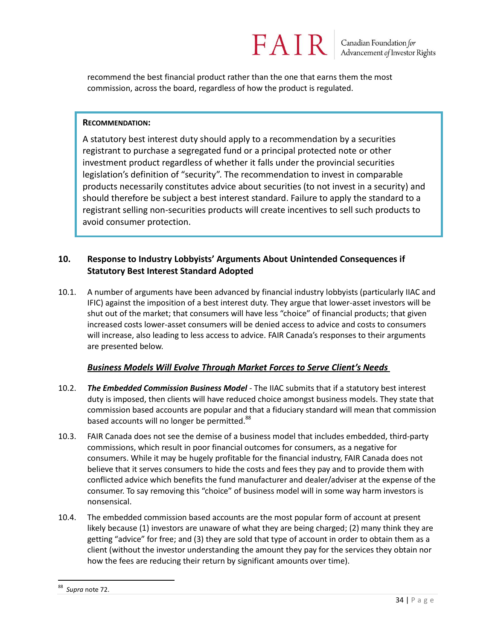recommend the best financial product rather than the one that earns them the most commission, across the board, regardless of how the product is regulated.

FAIR

#### **RECOMMENDATION:**

A statutory best interest duty should apply to a recommendation by a securities registrant to purchase a segregated fund or a principal protected note or other investment product regardless of whether it falls under the provincial securities legislation's definition of "security". The recommendation to invest in comparable products necessarily constitutes advice about securities (to not invest in a security) and should therefore be subject a best interest standard. Failure to apply the standard to a registrant selling non-securities products will create incentives to sell such products to avoid consumer protection.

#### **10. Response to Industry Lobbyists' Arguments About Unintended Consequences if Statutory Best Interest Standard Adopted**

10.1. A number of arguments have been advanced by financial industry lobbyists (particularly IIAC and IFIC) against the imposition of a best interest duty. They argue that lower-asset investors will be shut out of the market; that consumers will have less "choice" of financial products; that given increased costs lower-asset consumers will be denied access to advice and costs to consumers will increase, also leading to less access to advice. FAIR Canada's responses to their arguments are presented below.

#### *Business Models Will Evolve Through Market Forces to Serve Client's Needs*

- 10.2. *The Embedded Commission Business Model* The IIAC submits that if a statutory best interest duty is imposed, then clients will have reduced choice amongst business models. They state that commission based accounts are popular and that a fiduciary standard will mean that commission based accounts will no longer be permitted.<sup>88</sup>
- 10.3. FAIR Canada does not see the demise of a business model that includes embedded, third-party commissions, which result in poor financial outcomes for consumers, as a negative for consumers. While it may be hugely profitable for the financial industry, FAIR Canada does not believe that it serves consumers to hide the costs and fees they pay and to provide them with conflicted advice which benefits the fund manufacturer and dealer/adviser at the expense of the consumer. To say removing this "choice" of business model will in some way harm investors is nonsensical.
- 10.4. The embedded commission based accounts are the most popular form of account at present likely because (1) investors are unaware of what they are being charged; (2) many think they are getting "advice" for free; and (3) they are sold that type of account in order to obtain them as a client (without the investor understanding the amount they pay for the services they obtain nor how the fees are reducing their return by significant amounts over time).

 $\overline{a}$ 88 *Supra* note 72.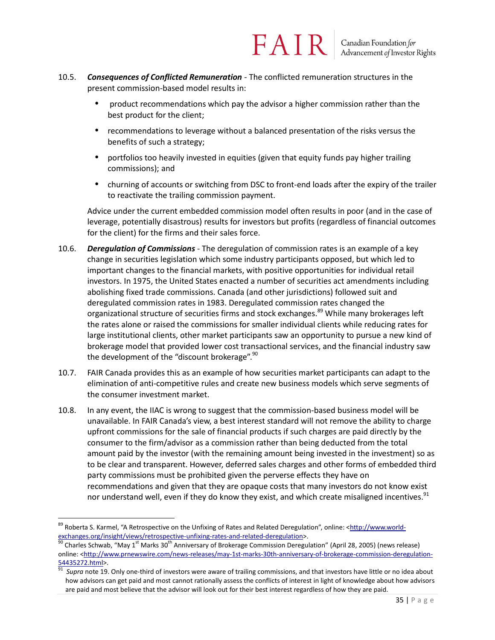- 10.5. *Consequences of Conflicted Remuneration* The conflicted remuneration structures in the present commission-based model results in:
	- product recommendations which pay the advisor a higher commission rather than the best product for the client;

- recommendations to leverage without a balanced presentation of the risks versus the benefits of such a strategy;
- portfolios too heavily invested in equities (given that equity funds pay higher trailing commissions); and
- churning of accounts or switching from DSC to front-end loads after the expiry of the trailer to reactivate the trailing commission payment.

Advice under the current embedded commission model often results in poor (and in the case of leverage, potentially disastrous) results for investors but profits (regardless of financial outcomes for the client) for the firms and their sales force.

- 10.6. *Deregulation of Commissions* The deregulation of commission rates is an example of a key change in securities legislation which some industry participants opposed, but which led to important changes to the financial markets, with positive opportunities for individual retail investors. In 1975, the United States enacted a number of securities act amendments including abolishing fixed trade commissions. Canada (and other jurisdictions) followed suit and deregulated commission rates in 1983. Deregulated commission rates changed the organizational structure of securities firms and stock exchanges.<sup>89</sup> While many brokerages left the rates alone or raised the commissions for smaller individual clients while reducing rates for large institutional clients, other market participants saw an opportunity to pursue a new kind of brokerage model that provided lower cost transactional services, and the financial industry saw the development of the "discount brokerage".<sup>90</sup>
- 10.7. FAIR Canada provides this as an example of how securities market participants can adapt to the elimination of anti-competitive rules and create new business models which serve segments of the consumer investment market.
- 10.8. In any event, the IIAC is wrong to suggest that the commission-based business model will be unavailable. In FAIR Canada's view, a best interest standard will not remove the ability to charge upfront commissions for the sale of financial products if such charges are paid directly by the consumer to the firm/advisor as a commission rather than being deducted from the total amount paid by the investor (with the remaining amount being invested in the investment) so as to be clear and transparent. However, deferred sales charges and other forms of embedded third party commissions must be prohibited given the perverse effects they have on recommendations and given that they are opaque costs that many investors do not know exist nor understand well, even if they do know they exist, and which create misaligned incentives.<sup>91</sup>

 $\overline{a}$ 89 Roberta S. Karmel, "A Retrospective on the Unfixing of Rates and Related Deregulation", online: <**http://www.world**[exchanges.org/insight/views/retrospective-unfixing-rates-and-related-deregulation>](http://www.world-exchanges.org/insight/views/retrospective-unfixing-rates-and-related-deregulation).

Charles Schwab, "May 1<sup>st</sup> Marks 30<sup>th</sup> Anniversary of Brokerage Commission Deregulation" (April 28, 2005) (news release) online: [<http://www.prnewswire.com/news-releases/may-1st-marks-30th-anniversary-of-brokerage-commission-deregulation-](http://www.prnewswire.com/news-releases/may-1st-marks-30th-anniversary-of-brokerage-commission-deregulation-54435272.html) $\frac{54435272.html}{91}$ .

Supra note 19. Only one-third of investors were aware of trailing commissions, and that investors have little or no idea about how advisors can get paid and most cannot rationally assess the conflicts of interest in light of knowledge about how advisors are paid and most believe that the advisor will look out for their best interest regardless of how they are paid.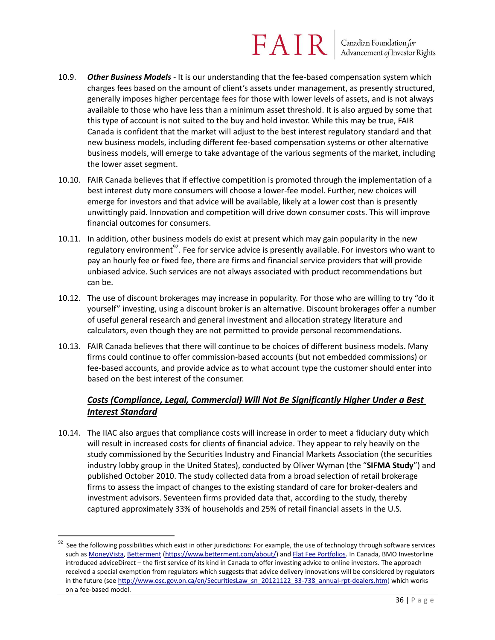Canadian Foundation for<br>Advancement of Investor Rights

- 10.9. *Other Business Models* It is our understanding that the fee-based compensation system which charges fees based on the amount of client's assets under management, as presently structured, generally imposes higher percentage fees for those with lower levels of assets, and is not always available to those who have less than a minimum asset threshold. It is also argued by some that this type of account is not suited to the buy and hold investor. While this may be true, FAIR Canada is confident that the market will adjust to the best interest regulatory standard and that new business models, including different fee-based compensation systems or other alternative business models, will emerge to take advantage of the various segments of the market, including the lower asset segment.
- 10.10. FAIR Canada believes that if effective competition is promoted through the implementation of a best interest duty more consumers will choose a lower-fee model. Further, new choices will emerge for investors and that advice will be available, likely at a lower cost than is presently unwittingly paid. Innovation and competition will drive down consumer costs. This will improve financial outcomes for consumers.
- 10.11. In addition, other business models do exist at present which may gain popularity in the new regulatory environment<sup>92</sup>. Fee for service advice is presently available. For investors who want to pay an hourly fee or fixed fee, there are firms and financial service providers that will provide unbiased advice. Such services are not always associated with product recommendations but can be.
- 10.12. The use of discount brokerages may increase in popularity. For those who are willing to try "do it yourself" investing, using a discount broker is an alternative. Discount brokerages offer a number of useful general research and general investment and allocation strategy literature and calculators, even though they are not permitted to provide personal recommendations.
- 10.13. FAIR Canada believes that there will continue to be choices of different business models. Many firms could continue to offer commission-based accounts (but not embedded commissions) or fee-based accounts, and provide advice as to what account type the customer should enter into based on the best interest of the consumer.

#### *Costs (Compliance, Legal, Commercial) Will Not Be Significantly Higher Under a Best Interest Standard*

10.14. The IIAC also argues that compliance costs will increase in order to meet a fiduciary duty which will result in increased costs for clients of financial advice. They appear to rely heavily on the study commissioned by the Securities Industry and Financial Markets Association (the securities industry lobby group in the United States), conducted by Oliver Wyman (the "**SIFMA Study**") and published October 2010. The study collected data from a broad selection of retail brokerage firms to assess the impact of changes to the existing standard of care for broker-dealers and investment advisors. Seventeen firms provided data that, according to the study, thereby captured approximately 33% of households and 25% of retail financial assets in the U.S.

See the following possibilities which exist in other jurisdictions: For example, the use of technology through software services such a[s MoneyVista,](http://www.moneyvista.com/) [Betterment](https://www.betterment.com/about/) [\(https://www.betterment.com/about/\)](https://www.betterment.com/about/) an[d Flat Fee Portfolios.](http://www.flatfeeportfolios.com/about) In Canada, BMO Investorline introduced adviceDirect – the first service of its kind in Canada to offer investing advice to online investors. The approach received a special exemption from regulators which suggests that advice delivery innovations will be considered by regulators in the future (see [http://www.osc.gov.on.ca/en/SecuritiesLaw\\_sn\\_20121122\\_33-738\\_annual-rpt-dealers.htm\)](http://www.osc.gov.on.ca/en/SecuritiesLaw_sn_20121122_33-738_annual-rpt-dealers.htm) which works on a fee-based model.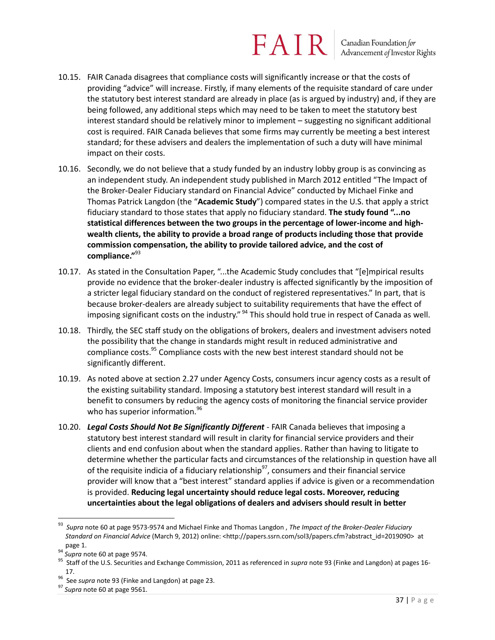Canadian Foundation for<br>Advancement of Investor Rights

- 10.15. FAIR Canada disagrees that compliance costs will significantly increase or that the costs of providing "advice" will increase. Firstly, if many elements of the requisite standard of care under the statutory best interest standard are already in place (as is argued by industry) and, if they are being followed, any additional steps which may need to be taken to meet the statutory best interest standard should be relatively minor to implement – suggesting no significant additional cost is required. FAIR Canada believes that some firms may currently be meeting a best interest standard; for these advisers and dealers the implementation of such a duty will have minimal impact on their costs.
- 10.16. Secondly, we do not believe that a study funded by an industry lobby group is as convincing as an independent study. An independent study published in March 2012 entitled "The Impact of the Broker-Dealer Fiduciary standard on Financial Advice" conducted by Michael Finke and Thomas Patrick Langdon (the "**Academic Study**") compared states in the U.S. that apply a strict fiduciary standard to those states that apply no fiduciary standard. **The study found "...no statistical differences between the two groups in the percentage of lower-income and highwealth clients, the ability to provide a broad range of products including those that provide commission compensation, the ability to provide tailored advice, and the cost of compliance."**<sup>93</sup>
- 10.17. As stated in the Consultation Paper, "...the Academic Study concludes that "[e]mpirical results provide no evidence that the broker-dealer industry is affected significantly by the imposition of a stricter legal fiduciary standard on the conduct of registered representatives." In part, that is because broker-dealers are already subject to suitability requirements that have the effect of imposing significant costs on the industry." <sup>94</sup> This should hold true in respect of Canada as well.
- 10.18. Thirdly, the SEC staff study on the obligations of brokers, dealers and investment advisers noted the possibility that the change in standards might result in reduced administrative and compliance costs.<sup>95</sup> Compliance costs with the new best interest standard should not be significantly different.
- 10.19. As noted above at section 2.27 under Agency Costs, consumers incur agency costs as a result of the existing suitability standard. Imposing a statutory best interest standard will result in a benefit to consumers by reducing the agency costs of monitoring the financial service provider who has superior information.<sup>96</sup>
- 10.20. *Legal Costs Should Not Be Significantly Different* FAIR Canada believes that imposing a statutory best interest standard will result in clarity for financial service providers and their clients and end confusion about when the standard applies. Rather than having to litigate to determine whether the particular facts and circumstances of the relationship in question have all of the requisite indicia of a fiduciary relationship<sup>97</sup>, consumers and their financial service provider will know that a "best interest" standard applies if advice is given or a recommendation is provided. **Reducing legal uncertainty should reduce legal costs. Moreover, reducing uncertainties about the legal obligations of dealers and advisers should result in better**

<sup>93</sup> *Supra* note 60 at page 9573-9574 and Michael Finke and Thomas Langdon , *The Impact of the Broker-Dealer Fiduciary Standard on Financial Advice* (March 9, 2012) online: <http://papers.ssrn.com/sol3/papers.cfm?abstract\_id=2019090> at page 1.

<sup>94</sup> *Supra* note 60 at page 9574.

<sup>95</sup> Staff of the U.S. Securities and Exchange Commission, 2011 as referenced in *supra* note 93 (Finke and Langdon) at pages 16- 17.

<sup>96</sup> See *supra* note 93 (Finke and Langdon) at page 23.

<sup>97</sup> *Supra* note 60 at page 9561.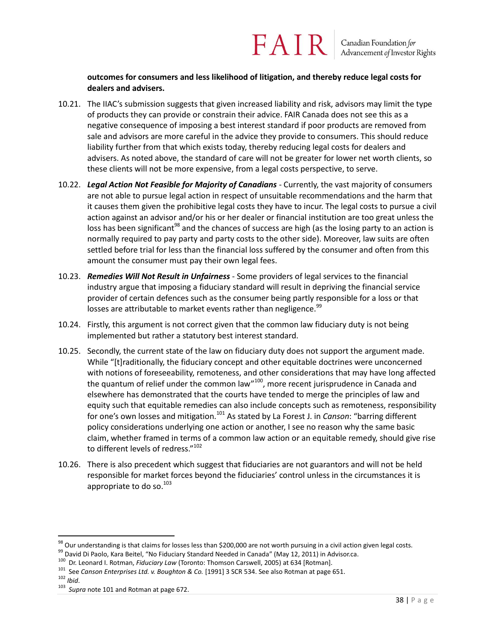#### **outcomes for consumers and less likelihood of litigation, and thereby reduce legal costs for dealers and advisers.**

- 10.21. The IIAC's submission suggests that given increased liability and risk, advisors may limit the type of products they can provide or constrain their advice. FAIR Canada does not see this as a negative consequence of imposing a best interest standard if poor products are removed from sale and advisors are more careful in the advice they provide to consumers. This should reduce liability further from that which exists today, thereby reducing legal costs for dealers and advisers. As noted above, the standard of care will not be greater for lower net worth clients, so these clients will not be more expensive, from a legal costs perspective, to serve.
- 10.22. *Legal Action Not Feasible for Majority of Canadians* Currently, the vast majority of consumers are not able to pursue legal action in respect of unsuitable recommendations and the harm that it causes them given the prohibitive legal costs they have to incur. The legal costs to pursue a civil action against an advisor and/or his or her dealer or financial institution are too great unless the loss has been significant<sup>98</sup> and the chances of success are high (as the losing party to an action is normally required to pay party and party costs to the other side). Moreover, law suits are often settled before trial for less than the financial loss suffered by the consumer and often from this amount the consumer must pay their own legal fees.
- 10.23. *Remedies Will Not Result in Unfairness* Some providers of legal services to the financial industry argue that imposing a fiduciary standard will result in depriving the financial service provider of certain defences such as the consumer being partly responsible for a loss or that losses are attributable to market events rather than negligence.<sup>99</sup>
- 10.24. Firstly, this argument is not correct given that the common law fiduciary duty is not being implemented but rather a statutory best interest standard.
- 10.25. Secondly, the current state of the law on fiduciary duty does not support the argument made. While "[t]raditionally, the fiduciary concept and other equitable doctrines were unconcerned with notions of foreseeability, remoteness, and other considerations that may have long affected the quantum of relief under the common law"<sup>100</sup>, more recent jurisprudence in Canada and elsewhere has demonstrated that the courts have tended to merge the principles of law and equity such that equitable remedies can also include concepts such as remoteness, responsibility for one's own losses and mitigation.<sup>101</sup> As stated by La Forest J. in *Canson*: "barring different policy considerations underlying one action or another, I see no reason why the same basic claim, whether framed in terms of a common law action or an equitable remedy, should give rise to different levels of redress."<sup>102</sup>
- 10.26. There is also precedent which suggest that fiduciaries are not guarantors and will not be held responsible for market forces beyond the fiduciaries' control unless in the circumstances it is appropriate to do so.<sup>103</sup>

 $^{98}$  Our understanding is that claims for losses less than \$200,000 are not worth pursuing in a civil action given legal costs.

<sup>99</sup> David Di Paolo, Kara Beitel, "No Fiduciary Standard Needed in Canada" (May 12, 2011) in Advisor.ca.

<sup>&</sup>lt;sup>100</sup> Dr. Leonard I. Rotman, *Fiduciary Law* (Toronto: Thomson Carswell, 2005) at 634 [Rotman].

<sup>&</sup>lt;sup>101</sup> See *Canson Enterprises Ltd. v. Boughton & Co.* [1991] 3 SCR 534. See also Rotman at page 651.

<sup>102</sup> *Ibid*.

<sup>103</sup> *Supra* note 101 and Rotman at page 672.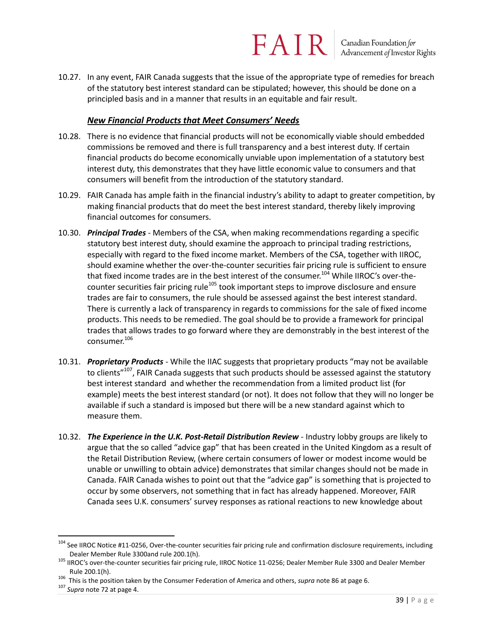10.27. In any event, FAIR Canada suggests that the issue of the appropriate type of remedies for breach of the statutory best interest standard can be stipulated; however, this should be done on a principled basis and in a manner that results in an equitable and fair result.

#### *New Financial Products that Meet Consumers' Needs*

- 10.28. There is no evidence that financial products will not be economically viable should embedded commissions be removed and there is full transparency and a best interest duty. If certain financial products do become economically unviable upon implementation of a statutory best interest duty, this demonstrates that they have little economic value to consumers and that consumers will benefit from the introduction of the statutory standard.
- 10.29. FAIR Canada has ample faith in the financial industry's ability to adapt to greater competition, by making financial products that do meet the best interest standard, thereby likely improving financial outcomes for consumers.
- 10.30. *Principal Trades* Members of the CSA, when making recommendations regarding a specific statutory best interest duty, should examine the approach to principal trading restrictions, especially with regard to the fixed income market. Members of the CSA, together with IIROC, should examine whether the over-the-counter securities fair pricing rule is sufficient to ensure that fixed income trades are in the best interest of the consumer.<sup>104</sup> While IIROC's over-thecounter securities fair pricing rule<sup>105</sup> took important steps to improve disclosure and ensure trades are fair to consumers, the rule should be assessed against the best interest standard. There is currently a lack of transparency in regards to commissions for the sale of fixed income products. This needs to be remedied. The goal should be to provide a framework for principal trades that allows trades to go forward where they are demonstrably in the best interest of the consumer.<sup>106</sup>
- 10.31. *Proprietary Products* While the IIAC suggests that proprietary products "may not be available to clients"<sup>107</sup>, FAIR Canada suggests that such products should be assessed against the statutory best interest standard and whether the recommendation from a limited product list (for example) meets the best interest standard (or not). It does not follow that they will no longer be available if such a standard is imposed but there will be a new standard against which to measure them.
- 10.32. *The Experience in the U.K. Post-Retail Distribution Review* Industry lobby groups are likely to argue that the so called "advice gap" that has been created in the United Kingdom as a result of the Retail Distribution Review, (where certain consumers of lower or modest income would be unable or unwilling to obtain advice) demonstrates that similar changes should not be made in Canada. FAIR Canada wishes to point out that the "advice gap" is something that is projected to occur by some observers, not something that in fact has already happened. Moreover, FAIR Canada sees U.K. consumers' survey responses as rational reactions to new knowledge about

<sup>&</sup>lt;sup>104</sup> See IIROC Notice #11-0256, Over-the-counter securities fair pricing rule and confirmation disclosure requirements, including Dealer Member Rule 3300and rule 200.1(h).

<sup>&</sup>lt;sup>105</sup> IIROC's over-the-counter securities fair pricing rule, IIROC Notice 11-0256; Dealer Member Rule 3300 and Dealer Member Rule 200.1(h).

<sup>106</sup> This is the position taken by the Consumer Federation of America and others, *supra* note 86 at page 6.

<sup>107</sup> *Supra* note 72 at page 4.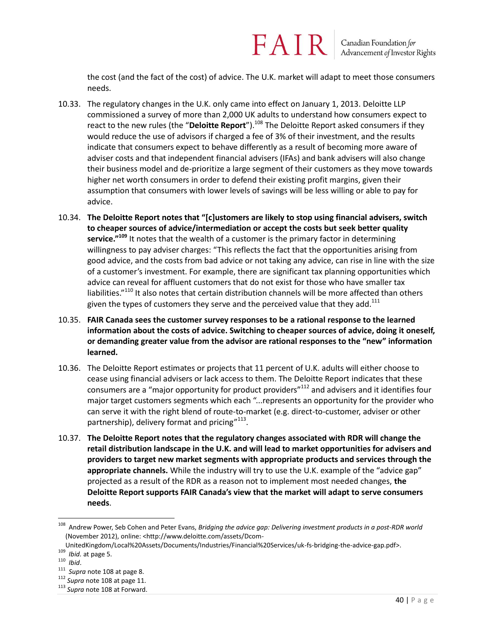the cost (and the fact of the cost) of advice. The U.K. market will adapt to meet those consumers needs.

FAIR

- 10.33. The regulatory changes in the U.K. only came into effect on January 1, 2013. Deloitte LLP commissioned a survey of more than 2,000 UK adults to understand how consumers expect to react to the new rules (the "**Deloitte Report**").<sup>108</sup> The Deloitte Report asked consumers if they would reduce the use of advisors if charged a fee of 3% of their investment, and the results indicate that consumers expect to behave differently as a result of becoming more aware of adviser costs and that independent financial advisers (IFAs) and bank advisers will also change their business model and de-prioritize a large segment of their customers as they move towards higher net worth consumers in order to defend their existing profit margins, given their assumption that consumers with lower levels of savings will be less willing or able to pay for advice.
- 10.34. The Deloitte Report notes that "[c]ustomers are likely to stop using financial advisers, switch **to cheaper sources of advice/intermediation or accept the costs but seek better quality service."<sup>109</sup>** It notes that the wealth of a customer is the primary factor in determining willingness to pay adviser charges: "This reflects the fact that the opportunities arising from good advice, and the costs from bad advice or not taking any advice, can rise in line with the size of a customer's investment. For example, there are significant tax planning opportunities which advice can reveal for affluent customers that do not exist for those who have smaller tax liabilities."<sup>110</sup> It also notes that certain distribution channels will be more affected than others given the types of customers they serve and the perceived value that they add.<sup>111</sup>
- 10.35. **FAIR Canada sees the customer survey responses to be a rational response to the learned information about the costs of advice. Switching to cheaper sources of advice, doing it oneself, or demanding greater value from the advisor are rational responses to the "new" information learned.**
- 10.36. The Deloitte Report estimates or projects that 11 percent of U.K. adults will either choose to cease using financial advisers or lack access to them. The Deloitte Report indicates that these consumers are a "major opportunity for product providers"<sup>112</sup> and advisers and it identifies four major target customers segments which each "...represents an opportunity for the provider who can serve it with the right blend of route-to-market (e.g. direct-to-customer, adviser or other partnership), delivery format and pricing"<sup>113</sup>.
- 10.37. **The Deloitte Report notes that the regulatory changes associated with RDR will change the retail distribution landscape in the U.K. and will lead to market opportunities for advisers and providers to target new market segments with appropriate products and services through the appropriate channels.** While the industry will try to use the U.K. example of the "advice gap" projected as a result of the RDR as a reason not to implement most needed changes, **the Deloitte Report supports FAIR Canada's view that the market will adapt to serve consumers needs**.

<sup>108</sup> Andrew Power, Seb Cohen and Peter Evans, *Bridging the advice gap: Delivering investment products in a post-RDR world* (November 2012), online: <http://www.deloitte.com/assets/Dcom-

UnitedKingdom/Local%20Assets/Documents/Industries/Financial%20Services/uk-fs-bridging-the-advice-gap.pdf>.

<sup>109</sup> *Ibid.* at page 5.

<sup>110</sup> *Ibid*.

<sup>&</sup>lt;sup>111</sup> Supra note 108 at page 8.

<sup>112</sup> *Supra* note 108 at page 11.

<sup>113</sup> *Supra* note 108 at Forward.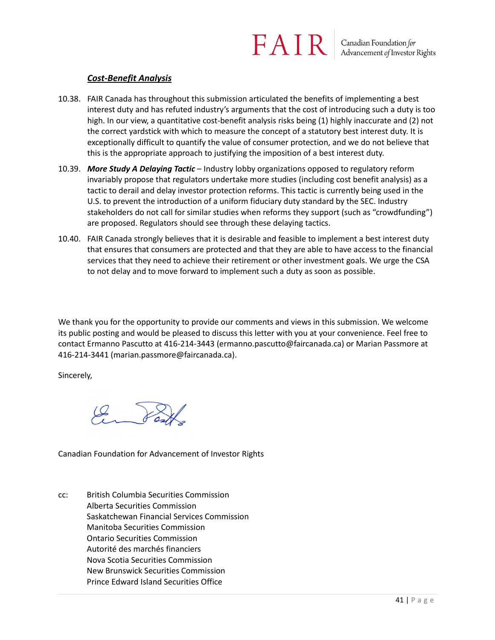#### *Cost-Benefit Analysis*

- 10.38. FAIR Canada has throughout this submission articulated the benefits of implementing a best interest duty and has refuted industry's arguments that the cost of introducing such a duty is too high. In our view, a quantitative cost-benefit analysis risks being (1) highly inaccurate and (2) not the correct yardstick with which to measure the concept of a statutory best interest duty. It is exceptionally difficult to quantify the value of consumer protection, and we do not believe that this is the appropriate approach to justifying the imposition of a best interest duty.
- 10.39. *More Study A Delaying Tactic* Industry lobby organizations opposed to regulatory reform invariably propose that regulators undertake more studies (including cost benefit analysis) as a tactic to derail and delay investor protection reforms. This tactic is currently being used in the U.S. to prevent the introduction of a uniform fiduciary duty standard by the SEC. Industry stakeholders do not call for similar studies when reforms they support (such as "crowdfunding") are proposed. Regulators should see through these delaying tactics.
- 10.40. FAIR Canada strongly believes that it is desirable and feasible to implement a best interest duty that ensures that consumers are protected and that they are able to have access to the financial services that they need to achieve their retirement or other investment goals. We urge the CSA to not delay and to move forward to implement such a duty as soon as possible.

We thank you for the opportunity to provide our comments and views in this submission. We welcome its public posting and would be pleased to discuss this letter with you at your convenience. Feel free to contact Ermanno Pascutto at 416-214-3443 (ermanno.pascutto@faircanada.ca) or Marian Passmore at 416-214-3441 (marian.passmore@faircanada.ca).

Sincerely,

Canadian Foundation for Advancement of Investor Rights

cc: British Columbia Securities Commission Alberta Securities Commission Saskatchewan Financial Services Commission Manitoba Securities Commission Ontario Securities Commission Autorité des marchés financiers Nova Scotia Securities Commission New Brunswick Securities Commission Prince Edward Island Securities Office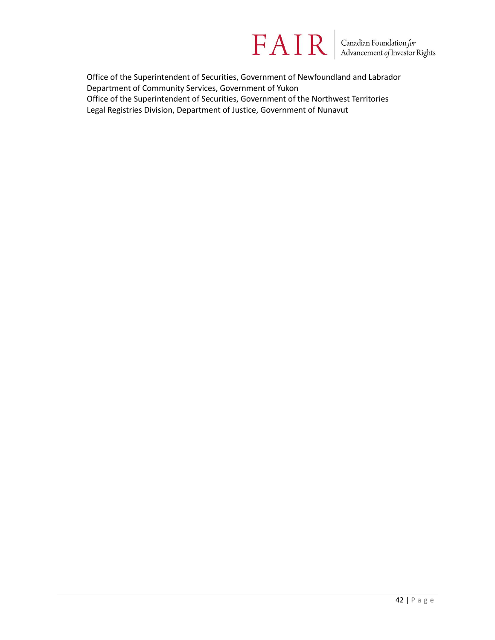

Office of the Superintendent of Securities, Government of Newfoundland and Labrador Department of Community Services, Government of Yukon Office of the Superintendent of Securities, Government of the Northwest Territories Legal Registries Division, Department of Justice, Government of Nunavut